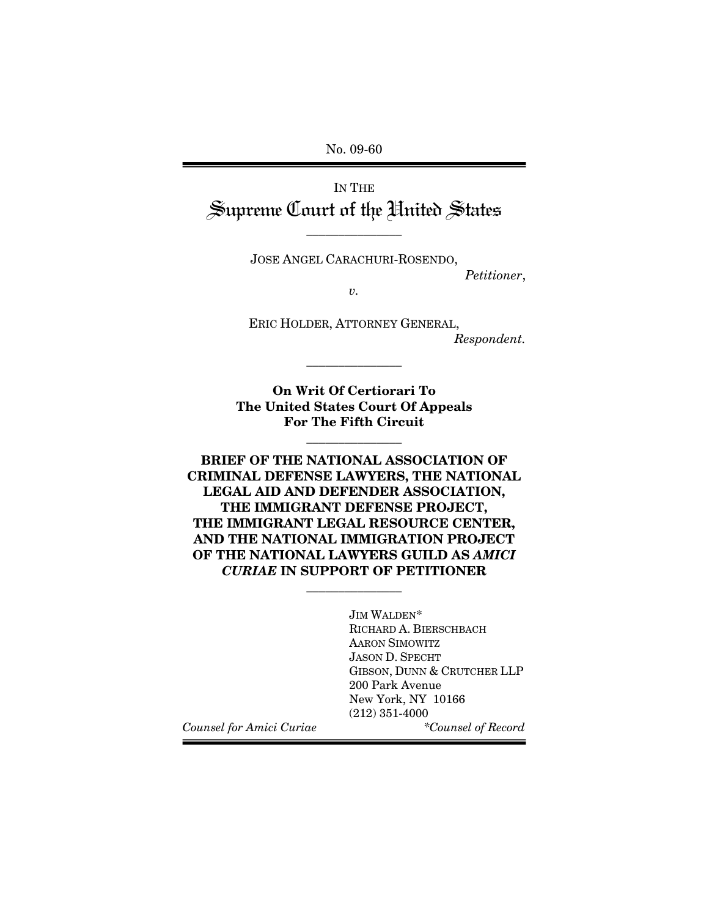No. 09-60 

IN THE Supreme Court of the Hnited States

JOSE ANGEL CARACHURI-ROSENDO,

\_\_\_\_\_\_\_\_\_\_\_\_\_\_\_

*Petitioner*,

*v.* 

ERIC HOLDER, ATTORNEY GENERAL, *Respondent.* 

**On Writ Of Certiorari To The United States Court Of Appeals For The Fifth Circuit** 

\_\_\_\_\_\_\_\_\_\_\_\_\_\_\_

\_\_\_\_\_\_\_\_\_\_\_\_\_\_\_

**BRIEF OF THE NATIONAL ASSOCIATION OF CRIMINAL DEFENSE LAWYERS, THE NATIONAL LEGAL AID AND DEFENDER ASSOCIATION, THE IMMIGRANT DEFENSE PROJECT, THE IMMIGRANT LEGAL RESOURCE CENTER, AND THE NATIONAL IMMIGRATION PROJECT OF THE NATIONAL LAWYERS GUILD AS** *AMICI CURIAE* **IN SUPPORT OF PETITIONER**

\_\_\_\_\_\_\_\_\_\_\_\_\_\_\_

JIM WALDEN\* RICHARD A. BIERSCHBACH AARON SIMOWITZ JASON D. SPECHT GIBSON, DUNN & CRUTCHER LLP 200 Park Avenue New York, NY 10166 (212) 351-4000 *Counsel for Amici Curiae \*Counsel of Record*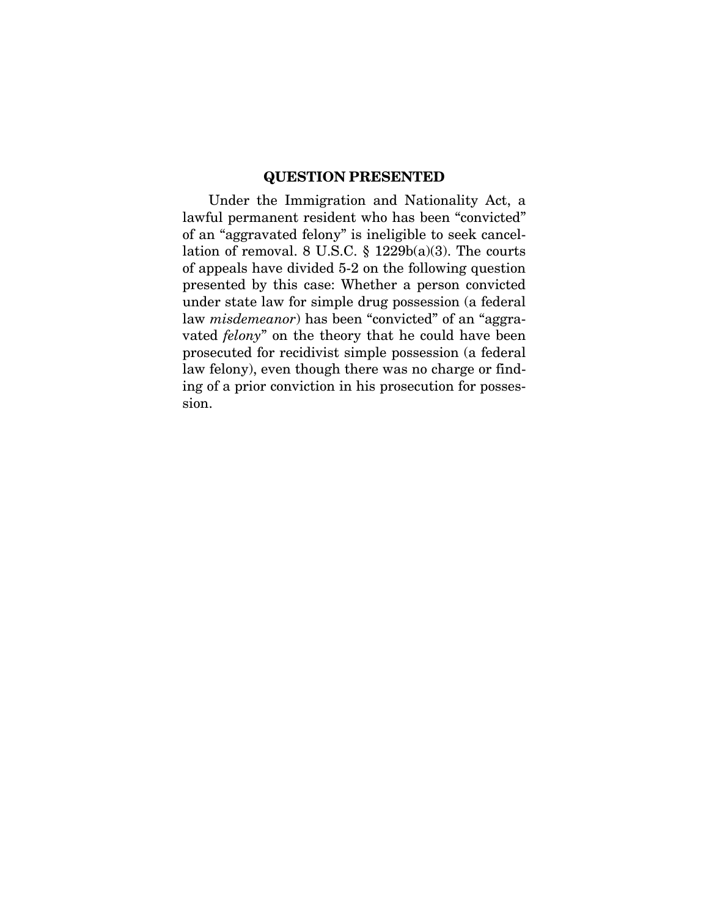## **QUESTION PRESENTED**

Under the Immigration and Nationality Act, a lawful permanent resident who has been "convicted" of an "aggravated felony" is ineligible to seek cancellation of removal. 8 U.S.C. § 1229b(a)(3). The courts of appeals have divided 5-2 on the following question presented by this case: Whether a person convicted under state law for simple drug possession (a federal law *misdemeanor*) has been "convicted" of an "aggravated *felony*" on the theory that he could have been prosecuted for recidivist simple possession (a federal law felony), even though there was no charge or finding of a prior conviction in his prosecution for possession.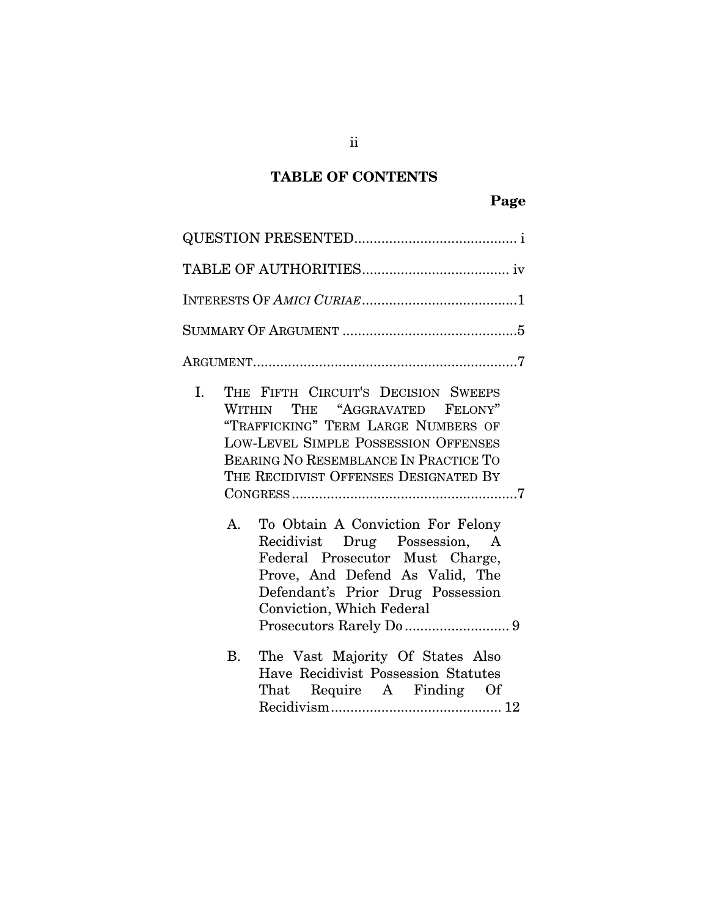# **TABLE OF CONTENTS**

# **Page**

| THE FIFTH CIRCUIT'S DECISION SWEEPS<br>I.<br>WITHIN THE "AGGRAVATED FELONY"<br>"TRAFFICKING" TERM LARGE NUMBERS OF<br><b>LOW-LEVEL SIMPLE POSSESSION OFFENSES</b><br><b>BEARING NO RESEMBLANCE IN PRACTICE TO</b><br>THE RECIDIVIST OFFENSES DESIGNATED BY<br>To Obtain A Conviction For Felony<br>A.<br>Recidivist Drug Possession, A<br>Federal Prosecutor Must Charge,<br>Prove, And Defend As Valid, The<br>Defendant's Prior Drug Possession<br>Conviction, Which Federal |
|--------------------------------------------------------------------------------------------------------------------------------------------------------------------------------------------------------------------------------------------------------------------------------------------------------------------------------------------------------------------------------------------------------------------------------------------------------------------------------|
| The Vast Majority Of States Also<br><b>B.</b><br>Have Recidivist Possession Statutes<br>That Require A Finding Of                                                                                                                                                                                                                                                                                                                                                              |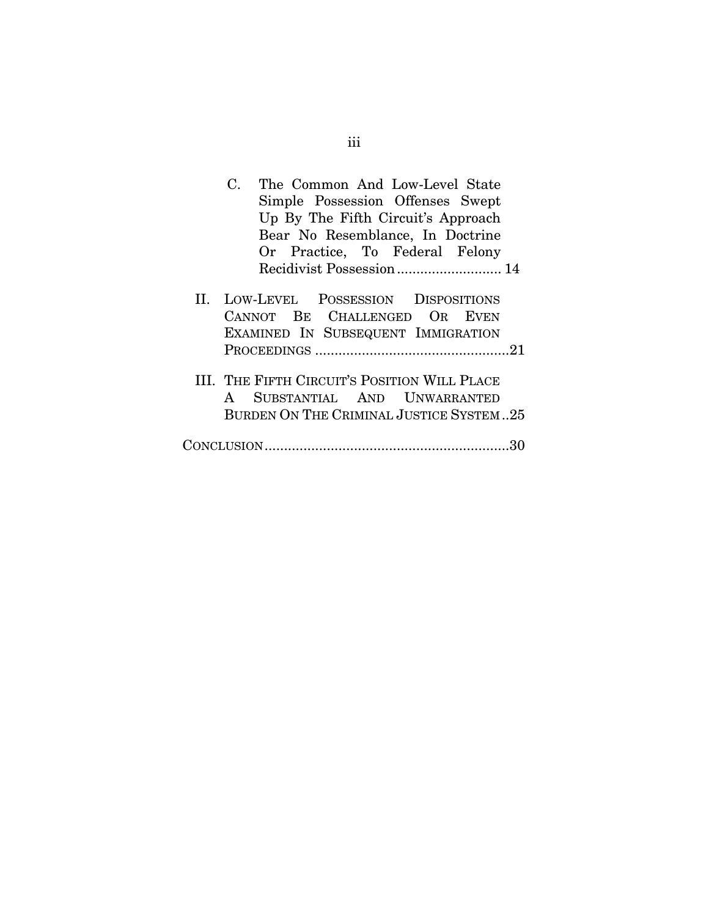|              | The Common And Low-Level State<br>C.                                              |
|--------------|-----------------------------------------------------------------------------------|
|              | Simple Possession Offenses Swept                                                  |
|              | Up By The Fifth Circuit's Approach                                                |
|              | Bear No Resemblance, In Doctrine                                                  |
|              | Or Practice, To Federal Felony                                                    |
|              |                                                                                   |
|              |                                                                                   |
| $\mathbf{H}$ | LOW-LEVEL POSSESSION DISPOSITIONS                                                 |
|              | CANNOT BE CHALLENGED OR EVEN                                                      |
|              | EXAMINED IN SUBSEQUENT IMMIGRATION                                                |
|              | PROCEEDINGS $\dots\dots\dots\dots\dots\dots\dots\dots\dots\dots\dots\dots\dots21$ |
|              |                                                                                   |
|              | III. THE FIFTH CIRCUIT'S POSITION WILL PLACE                                      |
|              | SUBSTANTIAL AND UNWARRANTED<br>$\mathbf{A}$                                       |
|              | BURDEN ON THE CRIMINAL JUSTICE SYSTEM25                                           |
|              |                                                                                   |
|              |                                                                                   |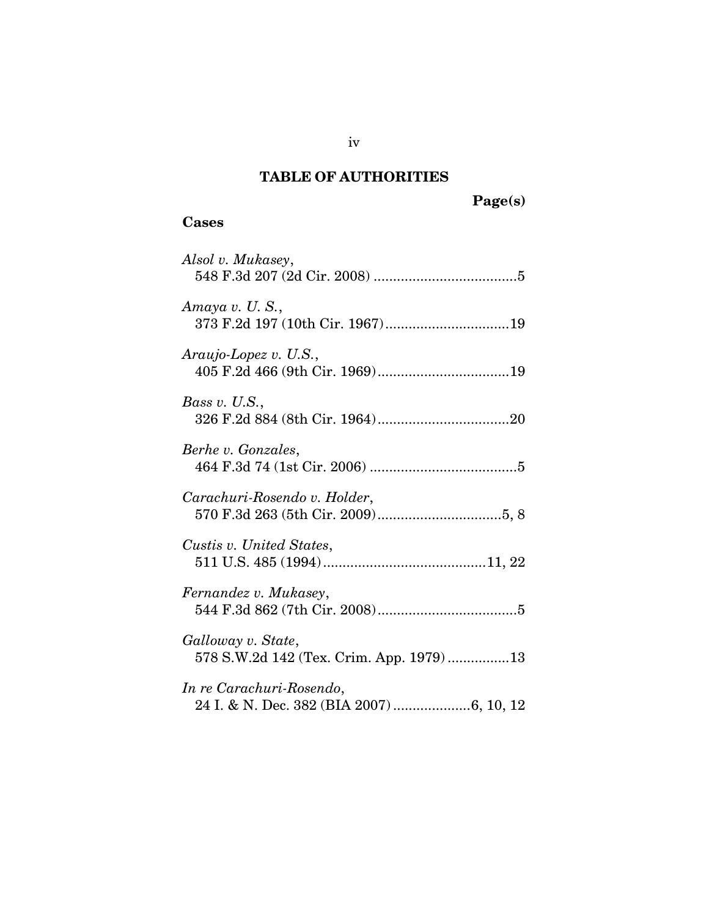# **TABLE OF AUTHORITIES**

# **Page(s)**

## **Cases**

| Alsol v. Mukasey,                                              |
|----------------------------------------------------------------|
| Amaya v. U.S.,<br>373 F.2d 197 (10th Cir. 1967)19              |
| $Araujo-Lopez$ v. U.S.,                                        |
| Bass v. $U.S.,$                                                |
| Berhe v. Gonzales,                                             |
| Carachuri-Rosendo v. Holder,                                   |
| Custis v. United States,                                       |
| Fernandez v. Mukasey,                                          |
| Galloway v. State,<br>578 S.W.2d 142 (Tex. Crim. App. 1979) 13 |
| In re Carachuri-Rosendo,                                       |

iv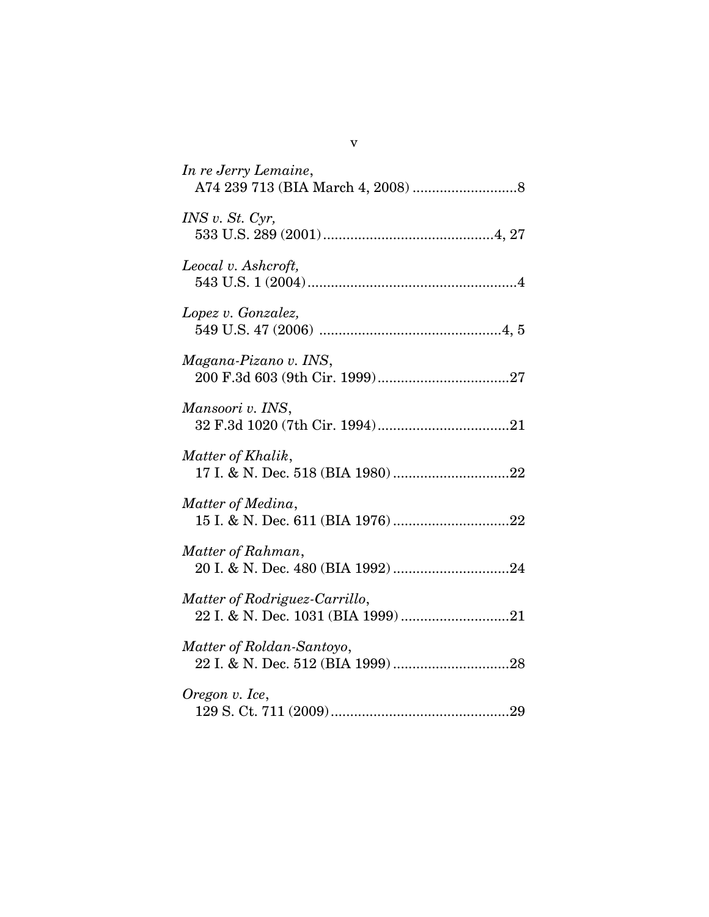| In re Jerry Lemaine,                                                |
|---------------------------------------------------------------------|
| INS v. St. Cyr,                                                     |
| Leocal v. Ashcroft,                                                 |
| Lopez v. Gonzalez,                                                  |
| Magana-Pizano v. INS,                                               |
| Mansoori v. INS,                                                    |
| Matter of Khalik,                                                   |
| Matter of Medina,                                                   |
| Matter of Rahman,                                                   |
| Matter of Rodriguez-Carrillo,<br>22 I. & N. Dec. 1031 (BIA 1999) 21 |
| Matter of Roldan-Santoyo,                                           |
| Oregon v. Ice,                                                      |

v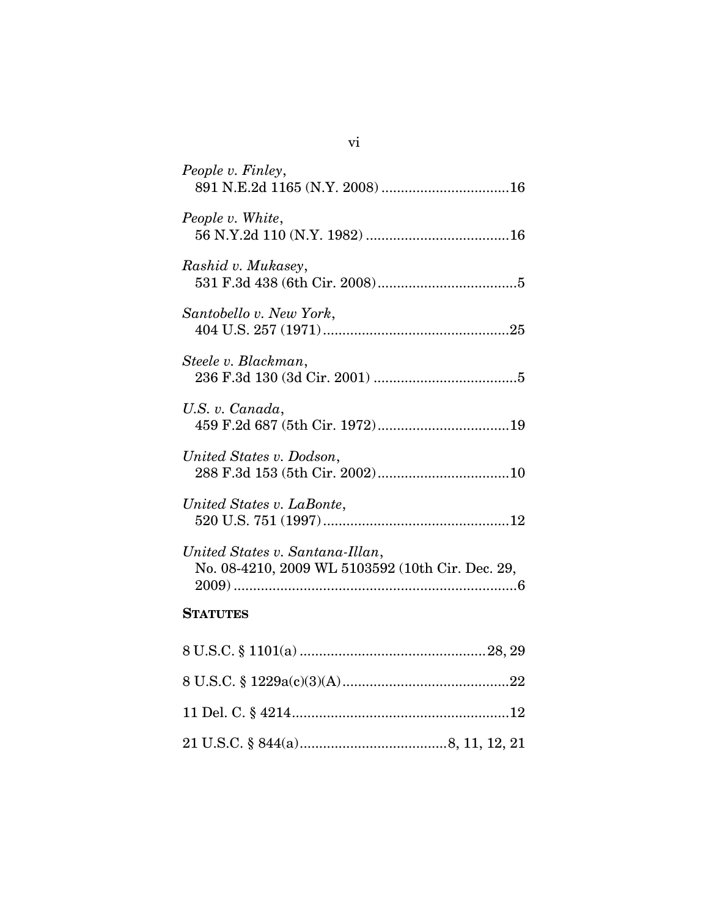| People v. Finley,                                                                   |
|-------------------------------------------------------------------------------------|
| People v. White,                                                                    |
| Rashid v. Mukasey,                                                                  |
| Santobello v. New York,                                                             |
| Steele v. Blackman,                                                                 |
| U.S. v. Canada,                                                                     |
| United States v. Dodson,                                                            |
| United States v. LaBonte,                                                           |
| United States v. Santana-Illan,<br>No. 08-4210, 2009 WL 5103592 (10th Cir. Dec. 29, |
| <b>STATUTES</b>                                                                     |
|                                                                                     |
|                                                                                     |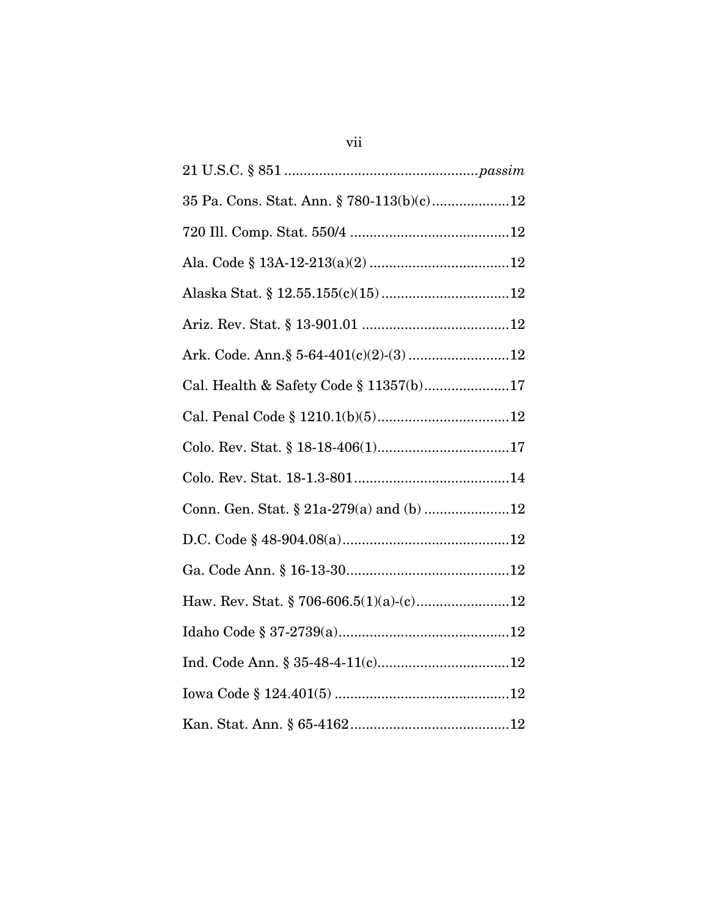| 35 Pa. Cons. Stat. Ann. § 780-113(b)(c)12 |
|-------------------------------------------|
|                                           |
|                                           |
|                                           |
|                                           |
| Ark. Code. Ann.§ 5-64-401(c)(2)-(3)12     |
| Cal. Health & Safety Code § 11357(b)17    |
|                                           |
|                                           |
|                                           |
|                                           |
|                                           |
|                                           |
| Haw. Rev. Stat. § 706-606.5(1)(a)-(c)12   |
|                                           |
|                                           |
|                                           |
|                                           |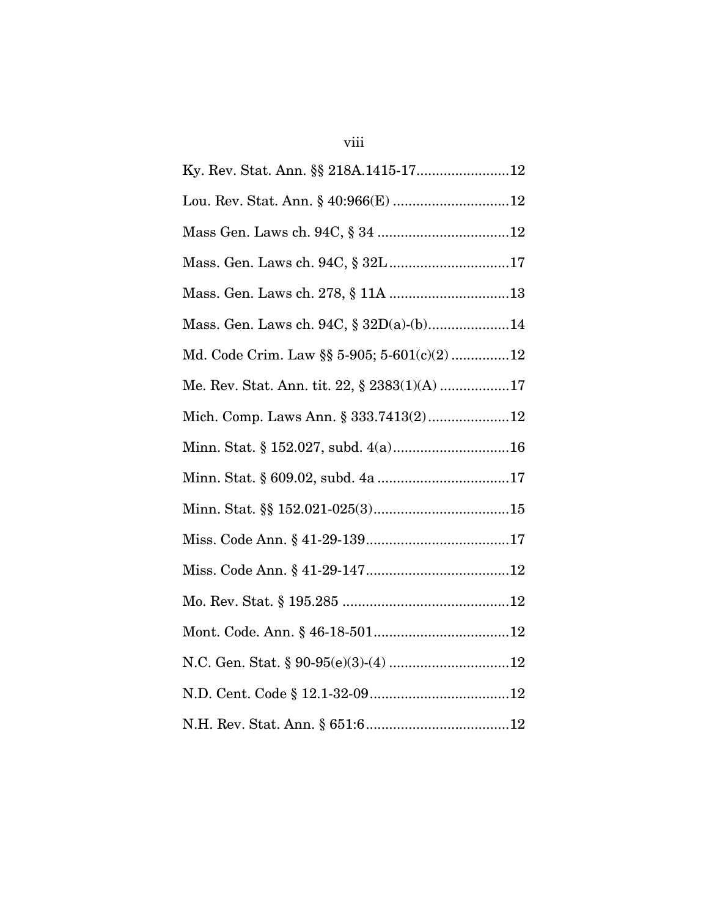| Mass. Gen. Laws ch. 94C, § 32D(a)-(b)14      |
|----------------------------------------------|
| Md. Code Crim. Law §§ 5-905; 5-601(c)(2)12   |
| Me. Rev. Stat. Ann. tit. 22, § 2383(1)(A) 17 |
| Mich. Comp. Laws Ann. § 333.7413(2)12        |
|                                              |
|                                              |
|                                              |
|                                              |
|                                              |
|                                              |
|                                              |
|                                              |
|                                              |
|                                              |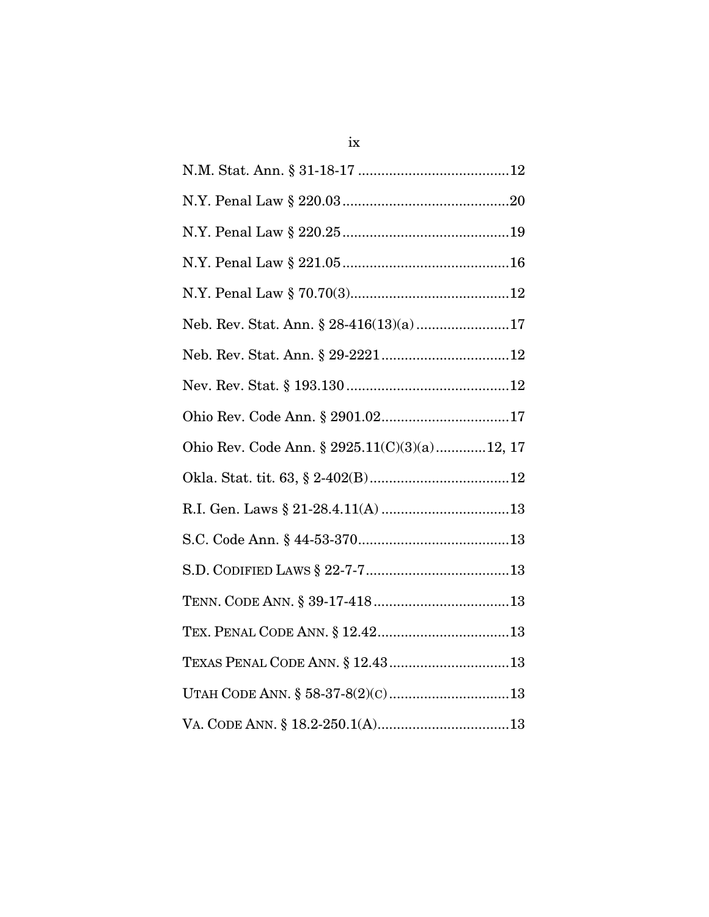| Neb. Rev. Stat. Ann. § 28-416(13)(a)17       |
|----------------------------------------------|
|                                              |
|                                              |
|                                              |
| Ohio Rev. Code Ann. § 2925.11(C)(3)(a)12, 17 |
|                                              |
|                                              |
|                                              |
|                                              |
|                                              |
|                                              |
|                                              |
|                                              |
| $\verb VA. CODE ANN. § 18.2-250.1(A)13$      |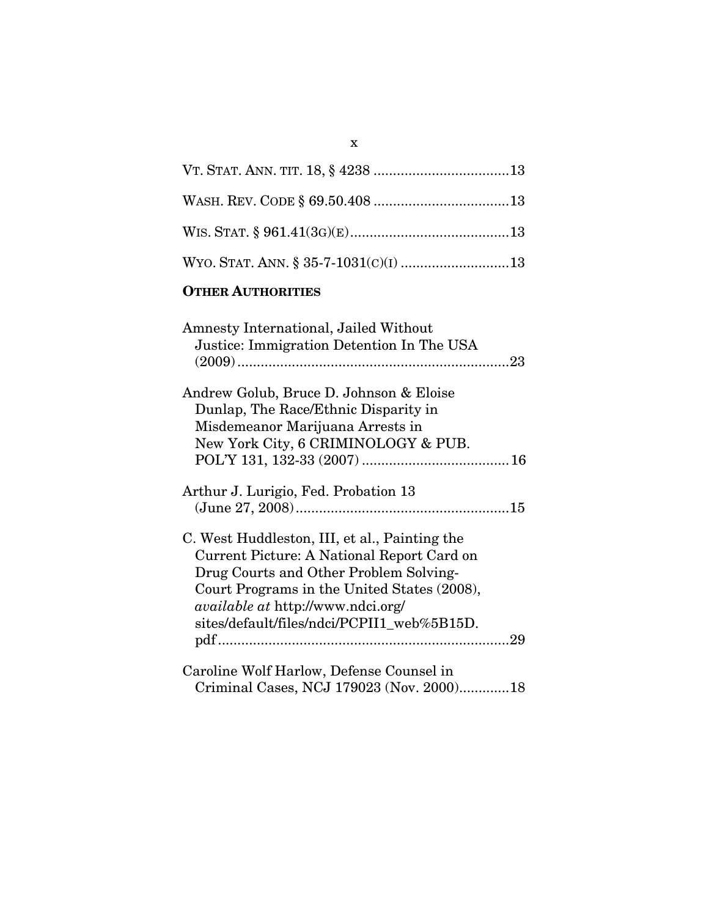## **OTHER AUTHORITIES**

| Amnesty International, Jailed Without         |
|-----------------------------------------------|
| Justice: Immigration Detention In The USA     |
|                                               |
|                                               |
| Andrew Golub, Bruce D. Johnson & Eloise       |
| Dunlap, The Race/Ethnic Disparity in          |
| Misdemeanor Marijuana Arrests in              |
| New York City, 6 CRIMINOLOGY & PUB.           |
|                                               |
|                                               |
| Arthur J. Lurigio, Fed. Probation 13          |
|                                               |
|                                               |
| C. West Huddleston, III, et al., Painting the |
| Current Picture: A National Report Card on    |
| Drug Courts and Other Problem Solving-        |
| Court Programs in the United States (2008),   |
| <i>available at http://www.ndci.org/</i>      |
| sites/default/files/ndci/PCPII1 web%5B15D.    |
|                                               |
|                                               |
| Caroline Wolf Harlow, Defense Counsel in      |
| Criminal Cases, NCJ 179023 (Nov. 2000)18      |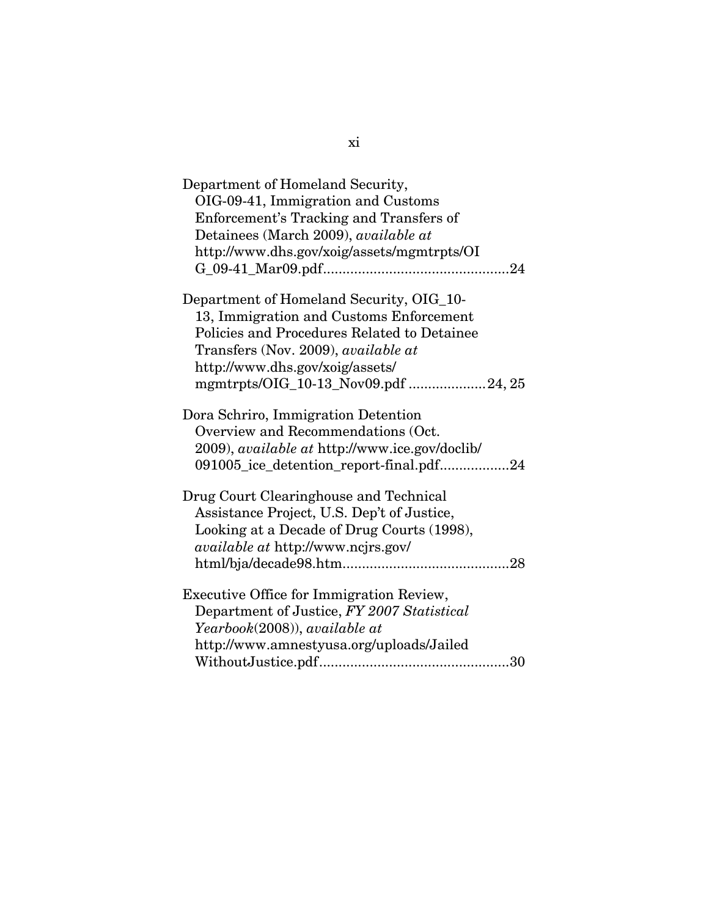| Department of Homeland Security,                      |
|-------------------------------------------------------|
| OIG-09-41, Immigration and Customs                    |
| Enforcement's Tracking and Transfers of               |
| Detainees (March 2009), available at                  |
| http://www.dhs.gov/xoig/assets/mgmtrpts/OI            |
|                                                       |
|                                                       |
| Department of Homeland Security, OIG_10-              |
| 13, Immigration and Customs Enforcement               |
| Policies and Procedures Related to Detainee           |
| Transfers (Nov. 2009), available at                   |
| http://www.dhs.gov/xoig/assets/                       |
| mgmtrpts/OIG_10-13_Nov09.pdf 24, 25                   |
| Dora Schriro, Immigration Detention                   |
| Overview and Recommendations (Oct.                    |
| 2009), <i>available at http://www.ice.gov/doclib/</i> |
| 091005_ice_detention_report-final.pdf24               |
|                                                       |
| Drug Court Clearinghouse and Technical                |
| Assistance Project, U.S. Dep't of Justice,            |
| Looking at a Decade of Drug Courts (1998),            |
| <i>available at http://www.ncjrs.gov/</i>             |
|                                                       |
| Executive Office for Immigration Review,              |
| Department of Justice, FY 2007 Statistical            |
| Yearbook(2008)), available at                         |
| http://www.amnestyusa.org/uploads/Jailed              |
|                                                       |
|                                                       |

xi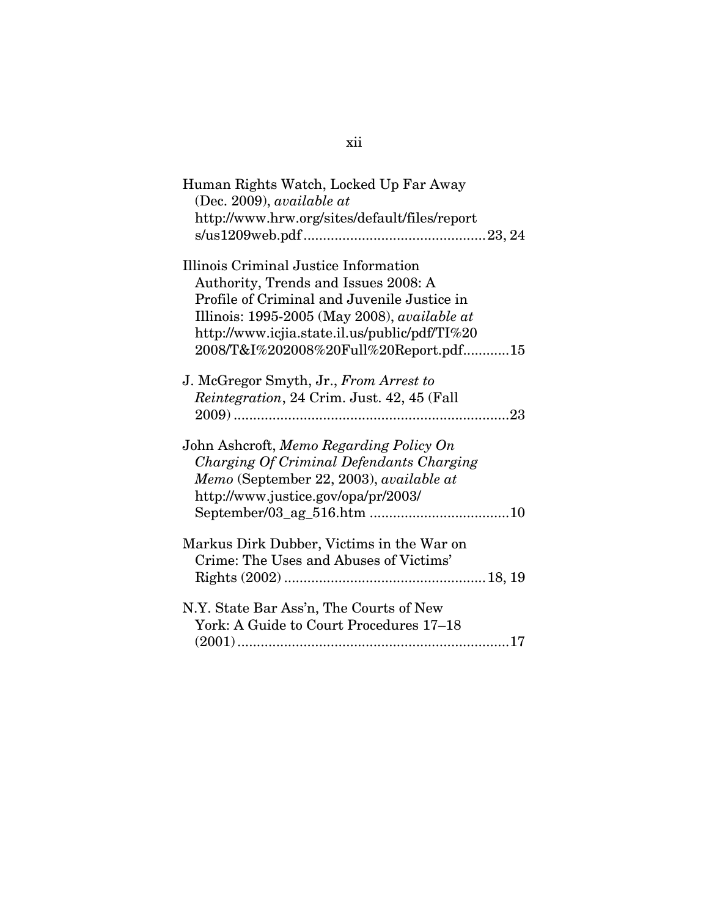| Human Rights Watch, Locked Up Far Away        |
|-----------------------------------------------|
| (Dec. 2009), available at                     |
| http://www.hrw.org/sites/default/files/report |
|                                               |
|                                               |
| Illinois Criminal Justice Information         |
| Authority, Trends and Issues 2008: A          |
| Profile of Criminal and Juvenile Justice in   |
| Illinois: 1995-2005 (May 2008), available at  |
| http://www.icjia.state.il.us/public/pdf/TI%20 |
| 2008/T&I%202008%20Full%20Report.pdf15         |
|                                               |
| J. McGregor Smyth, Jr., From Arrest to        |
| Reintegration, 24 Crim. Just. 42, 45 (Fall    |
|                                               |
|                                               |
| John Ashcroft, Memo Regarding Policy On       |
| Charging Of Criminal Defendants Charging      |
| Memo (September 22, 2003), available at       |
| http://www.justice.gov/opa/pr/2003/           |
|                                               |
|                                               |
| Markus Dirk Dubber, Victims in the War on     |
| Crime: The Uses and Abuses of Victims'        |
|                                               |
|                                               |
| N.Y. State Bar Ass'n, The Courts of New       |
|                                               |
| York: A Guide to Court Procedures 17–18       |
|                                               |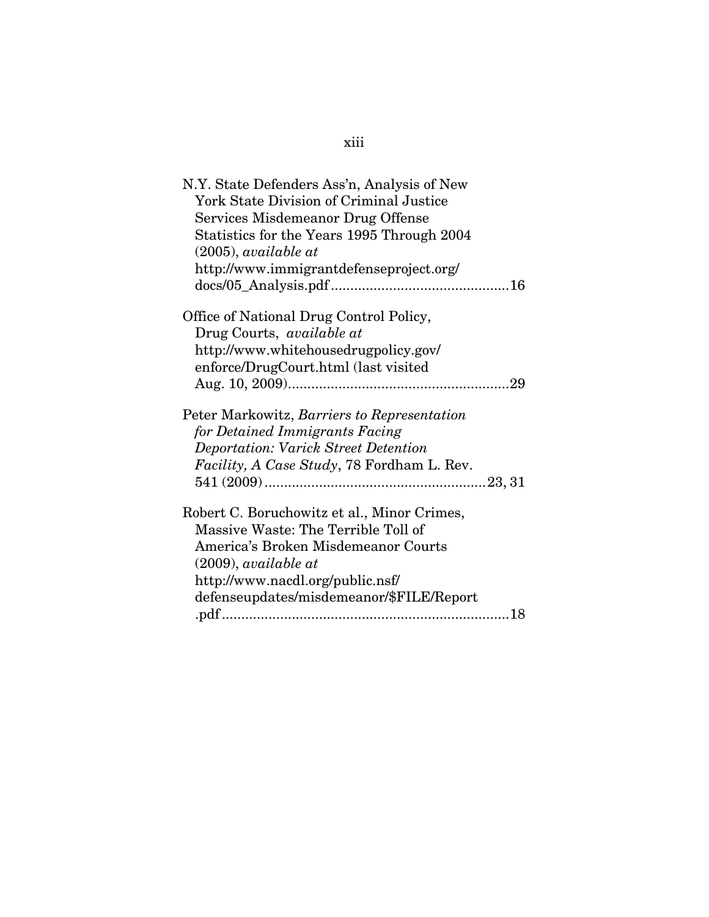# xiii

| N.Y. State Defenders Ass'n, Analysis of New    |
|------------------------------------------------|
| <b>York State Division of Criminal Justice</b> |
| Services Misdemeanor Drug Offense              |
| Statistics for the Years 1995 Through 2004     |
| $(2005)$ , available at                        |
|                                                |
| http://www.immigrantdefenseproject.org/        |
|                                                |
| Office of National Drug Control Policy,        |
| Drug Courts, <i>available at</i>               |
| http://www.whitehousedrugpolicy.gov/           |
| enforce/DrugCourt.html (last visited           |
|                                                |
|                                                |
| Peter Markowitz, Barriers to Representation    |
| for Detained Immigrants Facing                 |
| <b>Deportation: Varick Street Detention</b>    |
| Facility, A Case Study, 78 Fordham L. Rev.     |
|                                                |
|                                                |
| Robert C. Boruchowitz et al., Minor Crimes,    |
| Massive Waste: The Terrible Toll of            |
| America's Broken Misdemeanor Courts            |
| $(2009)$ , available at                        |
| http://www.nacdl.org/public.nsf/               |
| defenseupdates/misdemeanor/\$FILE/Report       |
|                                                |
|                                                |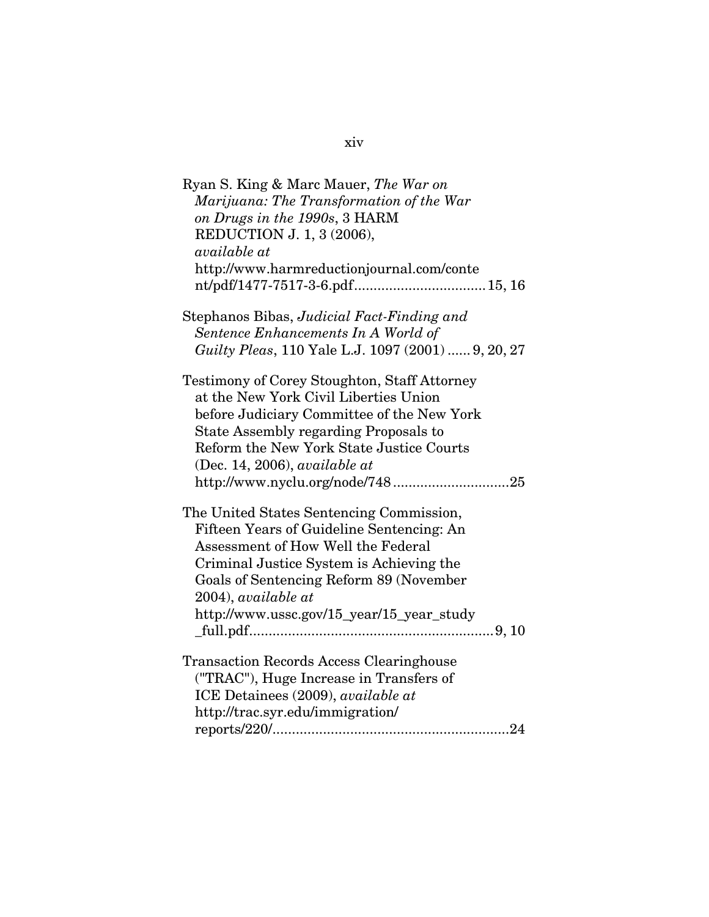| Ryan S. King & Marc Mauer, The War on               |
|-----------------------------------------------------|
| Marijuana: The Transformation of the War            |
| on Drugs in the 1990s, 3 HARM                       |
| REDUCTION J. 1, 3 (2006),                           |
| available at                                        |
| http://www.harmreductionjournal.com/conte           |
|                                                     |
| Stephanos Bibas, Judicial Fact-Finding and          |
| Sentence Enhancements In A World of                 |
| Guilty Pleas, 110 Yale L.J. 1097 (2001)  9, 20, 27  |
| <b>Testimony of Corey Stoughton, Staff Attorney</b> |
| at the New York Civil Liberties Union               |
| before Judiciary Committee of the New York          |
| State Assembly regarding Proposals to               |
| Reform the New York State Justice Courts            |
| (Dec. 14, 2006), available at                       |
| http://www.nyclu.org/node/74825                     |
| The United States Sentencing Commission,            |
| Fifteen Years of Guideline Sentencing: An           |
| Assessment of How Well the Federal                  |
| Criminal Justice System is Achieving the            |
| Goals of Sentencing Reform 89 (November             |
| 2004), available at                                 |
| http://www.ussc.gov/15_year/15_year_study           |
|                                                     |
| <b>Transaction Records Access Clearinghouse</b>     |
| ("TRAC"), Huge Increase in Transfers of             |
| ICE Detainees (2009), available at                  |
| http://trac.syr.edu/immigration/                    |
|                                                     |

## xiv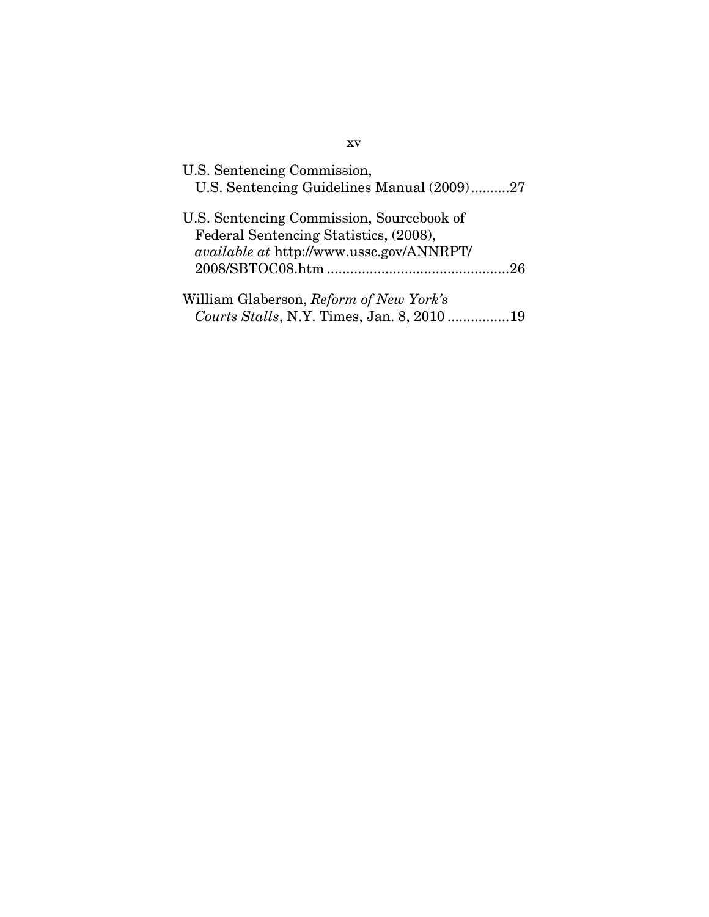| U.S. Sentencing Commission,<br>U.S. Sentencing Guidelines Manual (2009)27                                                       |
|---------------------------------------------------------------------------------------------------------------------------------|
| U.S. Sentencing Commission, Sourcebook of<br>Federal Sentencing Statistics, (2008),<br>available at http://www.ussc.gov/ANNRPT/ |
| William Glaberson, Reform of New York's<br>Courts Stalls, N.Y. Times, Jan. 8, 201019                                            |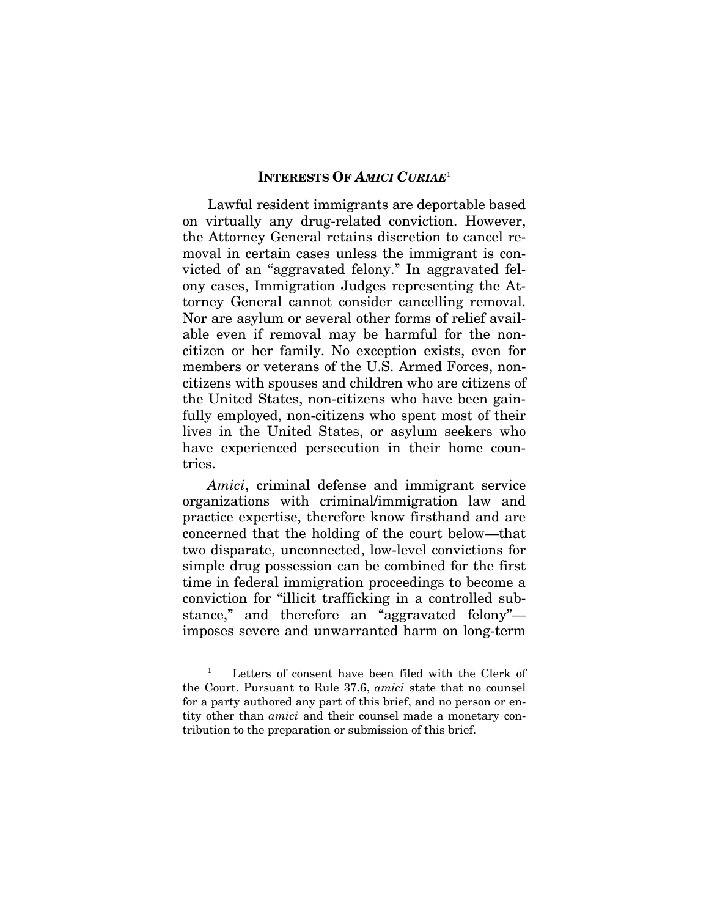#### **INTERESTS OF** *AMICI CURIAE*<sup>1</sup>

Lawful resident immigrants are deportable based on virtually any drug-related conviction. However, the Attorney General retains discretion to cancel removal in certain cases unless the immigrant is convicted of an "aggravated felony." In aggravated felony cases, Immigration Judges representing the Attorney General cannot consider cancelling removal. Nor are asylum or several other forms of relief available even if removal may be harmful for the noncitizen or her family. No exception exists, even for members or veterans of the U.S. Armed Forces, noncitizens with spouses and children who are citizens of the United States, non-citizens who have been gainfully employed, non-citizens who spent most of their lives in the United States, or asylum seekers who have experienced persecution in their home countries.

*Amici*, criminal defense and immigrant service organizations with criminal/immigration law and practice expertise, therefore know firsthand and are concerned that the holding of the court below—that two disparate, unconnected, low-level convictions for simple drug possession can be combined for the first time in federal immigration proceedings to become a conviction for "illicit trafficking in a controlled substance," and therefore an "aggravated felony" imposes severe and unwarranted harm on long-term

Letters of consent have been filed with the Clerk of the Court. Pursuant to Rule 37.6, *amici* state that no counsel for a party authored any part of this brief, and no person or entity other than *amici* and their counsel made a monetary contribution to the preparation or submission of this brief.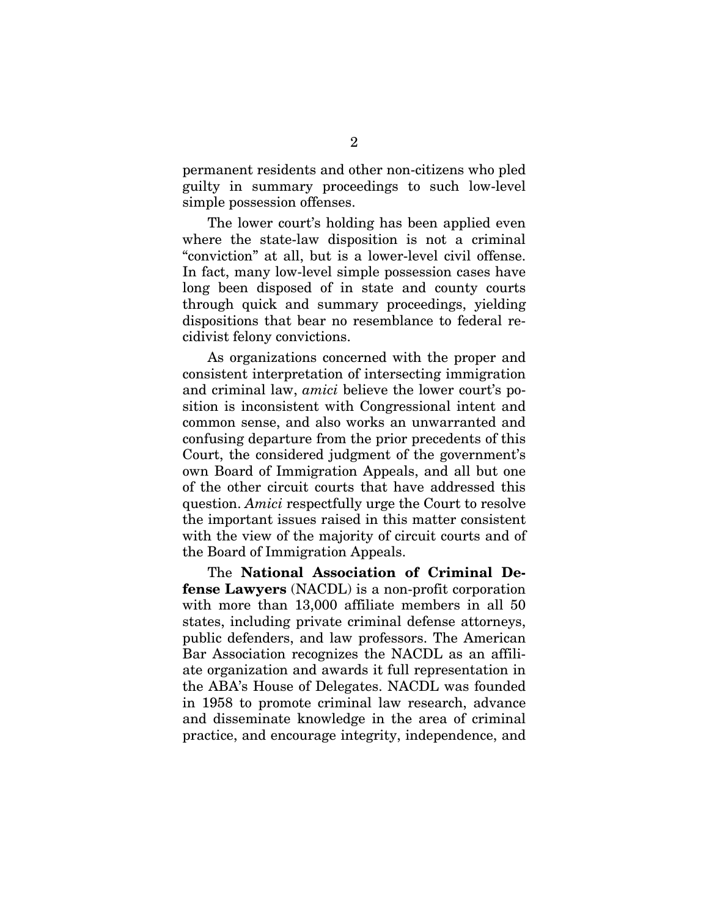permanent residents and other non-citizens who pled guilty in summary proceedings to such low-level simple possession offenses.

The lower court's holding has been applied even where the state-law disposition is not a criminal "conviction" at all, but is a lower-level civil offense. In fact, many low-level simple possession cases have long been disposed of in state and county courts through quick and summary proceedings, yielding dispositions that bear no resemblance to federal recidivist felony convictions.

As organizations concerned with the proper and consistent interpretation of intersecting immigration and criminal law, *amici* believe the lower court's position is inconsistent with Congressional intent and common sense, and also works an unwarranted and confusing departure from the prior precedents of this Court, the considered judgment of the government's own Board of Immigration Appeals, and all but one of the other circuit courts that have addressed this question. *Amici* respectfully urge the Court to resolve the important issues raised in this matter consistent with the view of the majority of circuit courts and of the Board of Immigration Appeals.

The **National Association of Criminal Defense Lawyers** (NACDL) is a non-profit corporation with more than 13,000 affiliate members in all 50 states, including private criminal defense attorneys, public defenders, and law professors. The American Bar Association recognizes the NACDL as an affiliate organization and awards it full representation in the ABA's House of Delegates. NACDL was founded in 1958 to promote criminal law research, advance and disseminate knowledge in the area of criminal practice, and encourage integrity, independence, and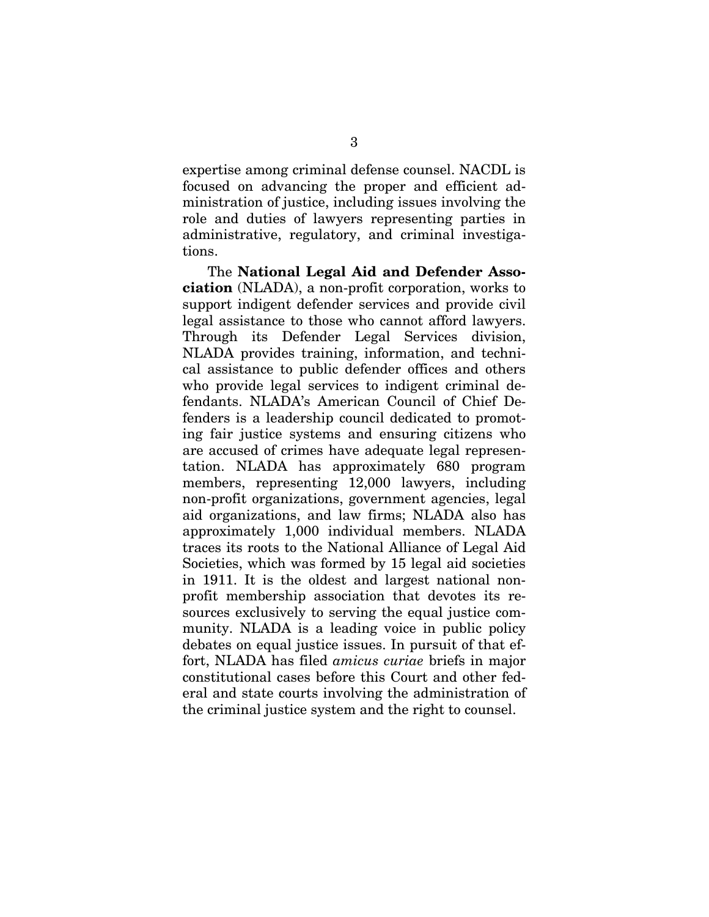expertise among criminal defense counsel. NACDL is focused on advancing the proper and efficient administration of justice, including issues involving the role and duties of lawyers representing parties in administrative, regulatory, and criminal investigations.

The **National Legal Aid and Defender Association** (NLADA), a non-profit corporation, works to support indigent defender services and provide civil legal assistance to those who cannot afford lawyers. Through its Defender Legal Services division, NLADA provides training, information, and technical assistance to public defender offices and others who provide legal services to indigent criminal defendants. NLADA's American Council of Chief Defenders is a leadership council dedicated to promoting fair justice systems and ensuring citizens who are accused of crimes have adequate legal representation. NLADA has approximately 680 program members, representing 12,000 lawyers, including non-profit organizations, government agencies, legal aid organizations, and law firms; NLADA also has approximately 1,000 individual members. NLADA traces its roots to the National Alliance of Legal Aid Societies, which was formed by 15 legal aid societies in 1911. It is the oldest and largest national nonprofit membership association that devotes its resources exclusively to serving the equal justice community. NLADA is a leading voice in public policy debates on equal justice issues. In pursuit of that effort, NLADA has filed *amicus curiae* briefs in major constitutional cases before this Court and other federal and state courts involving the administration of the criminal justice system and the right to counsel.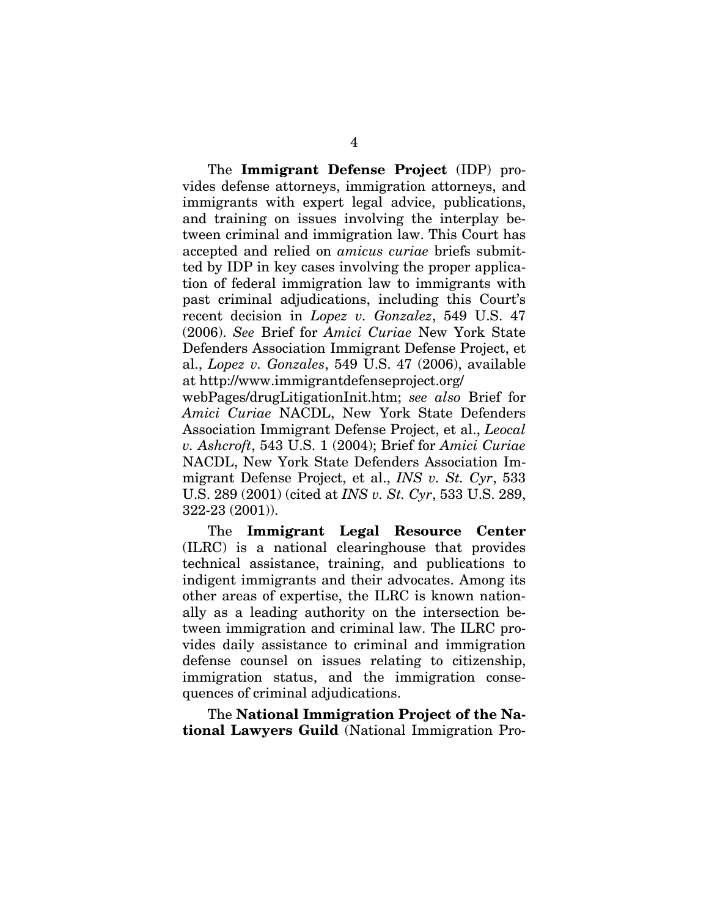The **Immigrant Defense Project** (IDP) provides defense attorneys, immigration attorneys, and immigrants with expert legal advice, publications, and training on issues involving the interplay between criminal and immigration law. This Court has accepted and relied on *amicus curiae* briefs submitted by IDP in key cases involving the proper application of federal immigration law to immigrants with past criminal adjudications, including this Court's recent decision in *Lopez v. Gonzalez*, 549 U.S. 47 (2006). *See* Brief for *Amici Curiae* New York State Defenders Association Immigrant Defense Project, et al., *Lopez v. Gonzales*, 549 U.S. 47 (2006), available at http://www.immigrantdefenseproject.org/

webPages/drugLitigationInit.htm; *see also* Brief for *Amici Curiae* NACDL, New York State Defenders Association Immigrant Defense Project, et al., *Leocal v. Ashcroft*, 543 U.S. 1 (2004); Brief for *Amici Curiae* NACDL, New York State Defenders Association Immigrant Defense Project, et al., *INS v. St. Cyr*, 533 U.S. 289 (2001) (cited at *INS v. St. Cyr*, 533 U.S. 289, 322-23 (2001)).

The **Immigrant Legal Resource Center** (ILRC) is a national clearinghouse that provides technical assistance, training, and publications to indigent immigrants and their advocates. Among its other areas of expertise, the ILRC is known nationally as a leading authority on the intersection between immigration and criminal law. The ILRC provides daily assistance to criminal and immigration defense counsel on issues relating to citizenship, immigration status, and the immigration consequences of criminal adjudications.

The **National Immigration Project of the National Lawyers Guild** (National Immigration Pro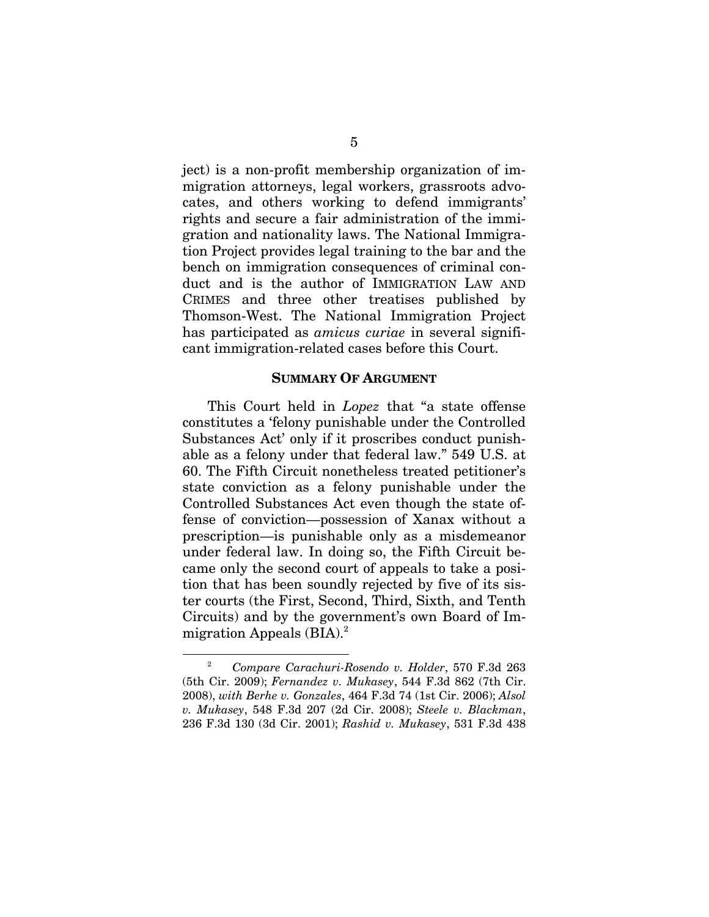ject) is a non-profit membership organization of immigration attorneys, legal workers, grassroots advocates, and others working to defend immigrants' rights and secure a fair administration of the immigration and nationality laws. The National Immigration Project provides legal training to the bar and the bench on immigration consequences of criminal conduct and is the author of IMMIGRATION LAW AND CRIMES and three other treatises published by Thomson-West. The National Immigration Project has participated as *amicus curiae* in several significant immigration-related cases before this Court.

#### **SUMMARY OF ARGUMENT**

This Court held in *Lopez* that "a state offense constitutes a 'felony punishable under the Controlled Substances Act' only if it proscribes conduct punishable as a felony under that federal law." 549 U.S. at 60. The Fifth Circuit nonetheless treated petitioner's state conviction as a felony punishable under the Controlled Substances Act even though the state offense of conviction—possession of Xanax without a prescription—is punishable only as a misdemeanor under federal law. In doing so, the Fifth Circuit became only the second court of appeals to take a position that has been soundly rejected by five of its sister courts (the First, Second, Third, Sixth, and Tenth Circuits) and by the government's own Board of Immigration Appeals  $(BIA).<sup>2</sup>$ 

<sup>2</sup> *Compare Carachuri-Rosendo v. Holder*, 570 F.3d 263 (5th Cir. 2009); *Fernandez v. Mukasey*, 544 F.3d 862 (7th Cir. 2008), *with Berhe v. Gonzales*, 464 F.3d 74 (1st Cir. 2006); *Alsol v. Mukasey*, 548 F.3d 207 (2d Cir. 2008); *Steele v. Blackman*, 236 F.3d 130 (3d Cir. 2001); *Rashid v. Mukasey*, 531 F.3d 438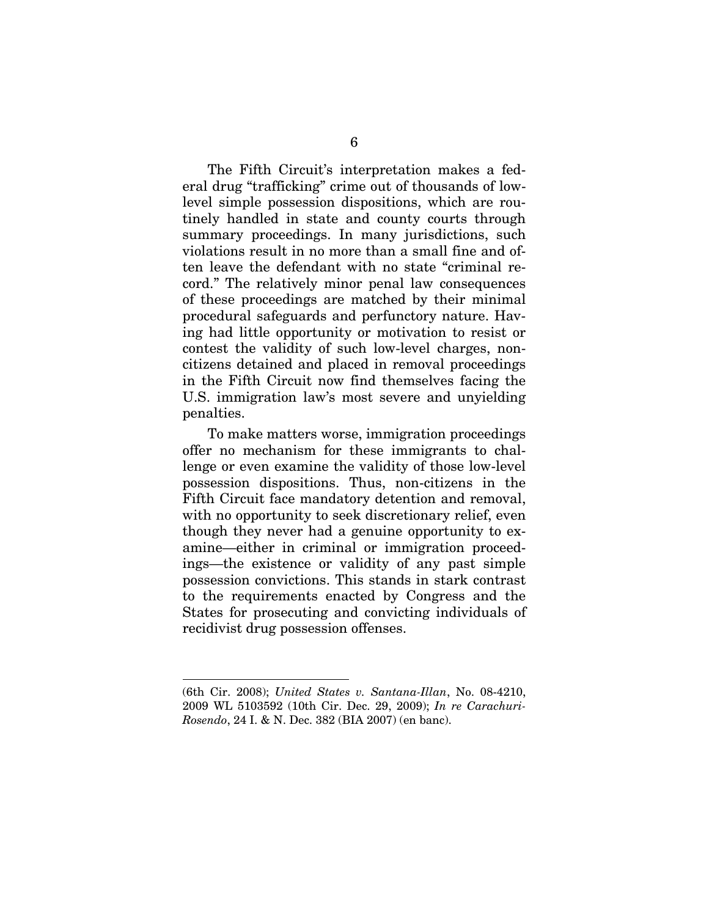The Fifth Circuit's interpretation makes a federal drug "trafficking" crime out of thousands of lowlevel simple possession dispositions, which are routinely handled in state and county courts through summary proceedings. In many jurisdictions, such violations result in no more than a small fine and often leave the defendant with no state "criminal record." The relatively minor penal law consequences of these proceedings are matched by their minimal procedural safeguards and perfunctory nature. Having had little opportunity or motivation to resist or contest the validity of such low-level charges, noncitizens detained and placed in removal proceedings in the Fifth Circuit now find themselves facing the U.S. immigration law's most severe and unyielding penalties.

To make matters worse, immigration proceedings offer no mechanism for these immigrants to challenge or even examine the validity of those low-level possession dispositions. Thus, non-citizens in the Fifth Circuit face mandatory detention and removal, with no opportunity to seek discretionary relief, even though they never had a genuine opportunity to examine—either in criminal or immigration proceedings—the existence or validity of any past simple possession convictions. This stands in stark contrast to the requirements enacted by Congress and the States for prosecuting and convicting individuals of recidivist drug possession offenses.

<sup>(6</sup>th Cir. 2008); *United States v. Santana-Illan*, No. 08-4210, 2009 WL 5103592 (10th Cir. Dec. 29, 2009); *In re Carachuri-Rosendo*, 24 I. & N. Dec. 382 (BIA 2007) (en banc).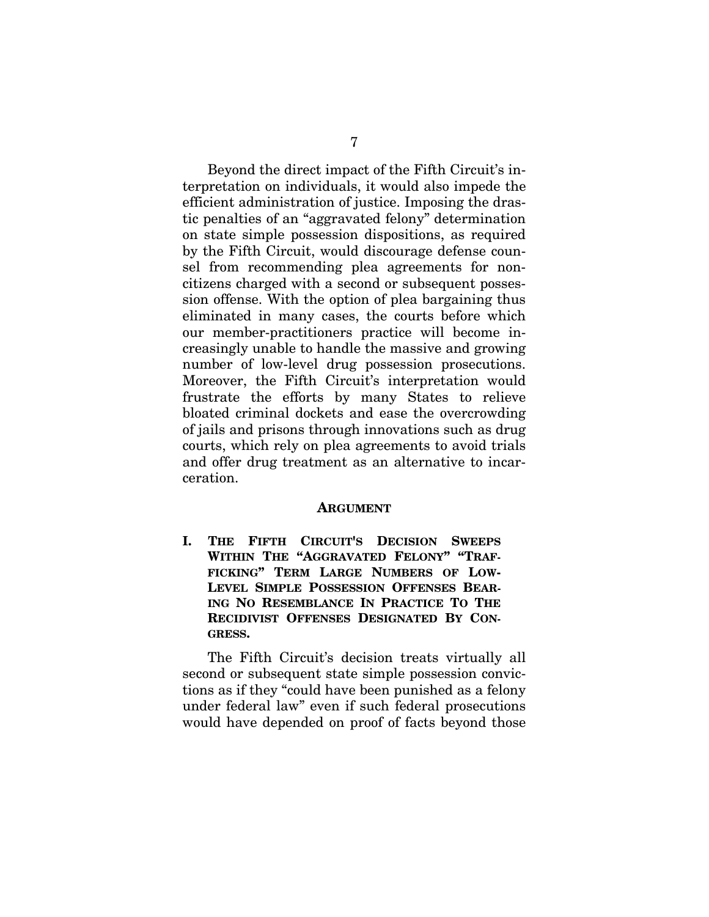Beyond the direct impact of the Fifth Circuit's interpretation on individuals, it would also impede the efficient administration of justice. Imposing the drastic penalties of an "aggravated felony" determination on state simple possession dispositions, as required by the Fifth Circuit, would discourage defense counsel from recommending plea agreements for noncitizens charged with a second or subsequent possession offense. With the option of plea bargaining thus eliminated in many cases, the courts before which our member-practitioners practice will become increasingly unable to handle the massive and growing number of low-level drug possession prosecutions. Moreover, the Fifth Circuit's interpretation would frustrate the efforts by many States to relieve bloated criminal dockets and ease the overcrowding of jails and prisons through innovations such as drug courts, which rely on plea agreements to avoid trials and offer drug treatment as an alternative to incarceration.

#### **ARGUMENT**

**I. THE FIFTH CIRCUIT'S DECISION SWEEPS WITHIN THE "AGGRAVATED FELONY" "TRAF-FICKING" TERM LARGE NUMBERS OF LOW-LEVEL SIMPLE POSSESSION OFFENSES BEAR-ING NO RESEMBLANCE IN PRACTICE TO THE RECIDIVIST OFFENSES DESIGNATED BY CON-GRESS.** 

The Fifth Circuit's decision treats virtually all second or subsequent state simple possession convictions as if they "could have been punished as a felony under federal law" even if such federal prosecutions would have depended on proof of facts beyond those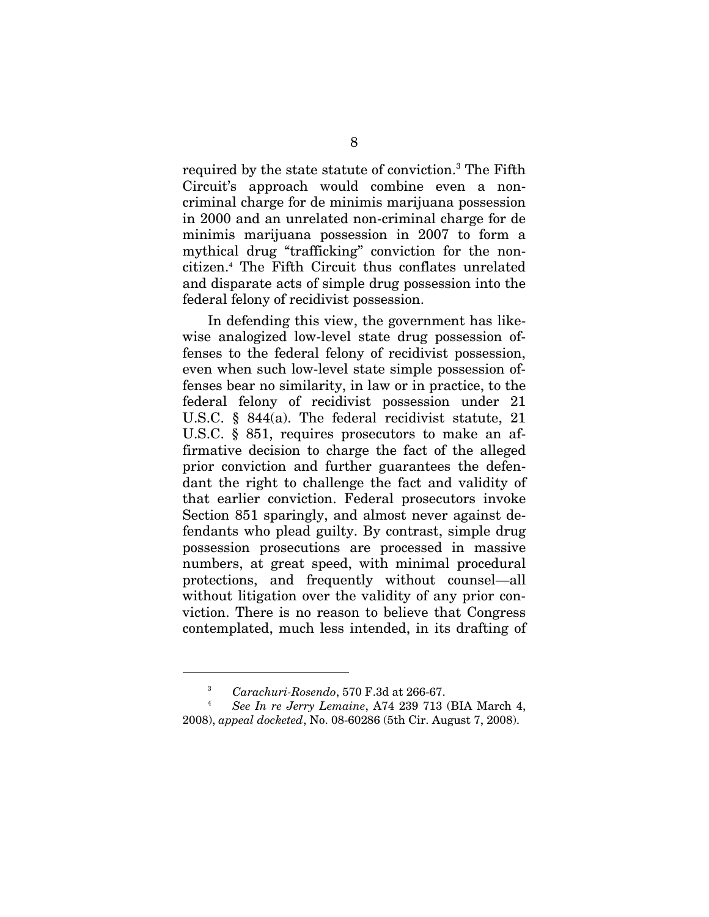required by the state statute of conviction.<sup>3</sup> The Fifth Circuit's approach would combine even a noncriminal charge for de minimis marijuana possession in 2000 and an unrelated non-criminal charge for de minimis marijuana possession in 2007 to form a mythical drug "trafficking" conviction for the noncitizen.4 The Fifth Circuit thus conflates unrelated and disparate acts of simple drug possession into the federal felony of recidivist possession.

In defending this view, the government has likewise analogized low-level state drug possession offenses to the federal felony of recidivist possession, even when such low-level state simple possession offenses bear no similarity, in law or in practice, to the federal felony of recidivist possession under 21 U.S.C. § 844(a). The federal recidivist statute, 21 U.S.C. § 851, requires prosecutors to make an affirmative decision to charge the fact of the alleged prior conviction and further guarantees the defendant the right to challenge the fact and validity of that earlier conviction. Federal prosecutors invoke Section 851 sparingly, and almost never against defendants who plead guilty. By contrast, simple drug possession prosecutions are processed in massive numbers, at great speed, with minimal procedural protections, and frequently without counsel—all without litigation over the validity of any prior conviction. There is no reason to believe that Congress contemplated, much less intended, in its drafting of

<sup>3</sup> *Carachuri-Rosendo*, 570 F.3d at 266-67. 4 *See In re Jerry Lemaine*, A74 239 713 (BIA March 4, 2008), *appeal docketed*, No. 08-60286 (5th Cir. August 7, 2008).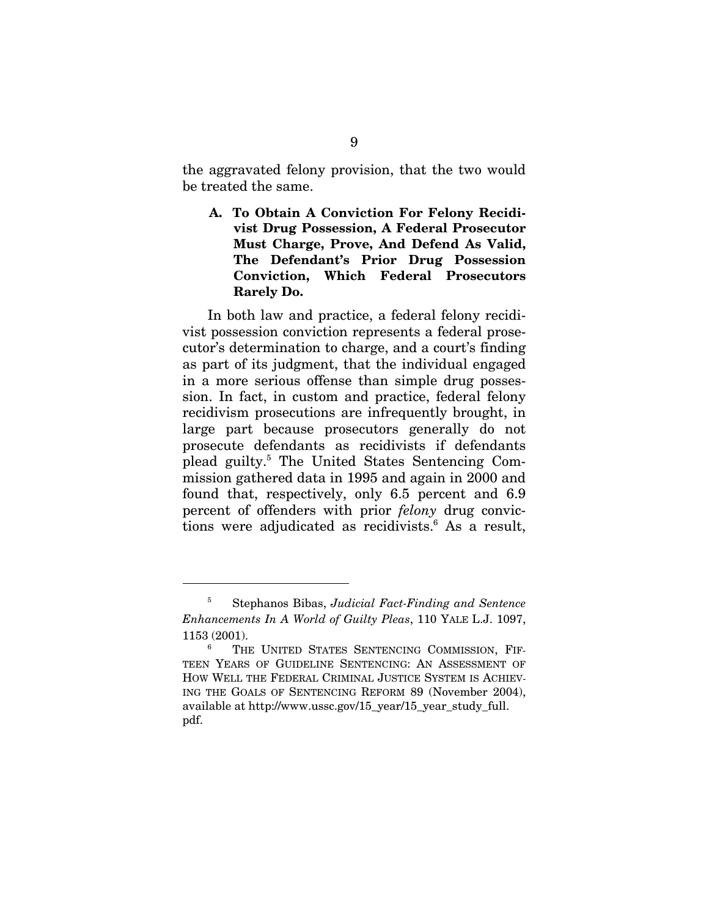the aggravated felony provision, that the two would be treated the same.

**A. To Obtain A Conviction For Felony Recidivist Drug Possession, A Federal Prosecutor Must Charge, Prove, And Defend As Valid, The Defendant's Prior Drug Possession Conviction, Which Federal Prosecutors Rarely Do.** 

In both law and practice, a federal felony recidivist possession conviction represents a federal prosecutor's determination to charge, and a court's finding as part of its judgment, that the individual engaged in a more serious offense than simple drug possession. In fact, in custom and practice, federal felony recidivism prosecutions are infrequently brought, in large part because prosecutors generally do not prosecute defendants as recidivists if defendants plead guilty.<sup>5</sup> The United States Sentencing Commission gathered data in 1995 and again in 2000 and found that, respectively, only 6.5 percent and 6.9 percent of offenders with prior *felony* drug convictions were adjudicated as recidivists.<sup>6</sup> As a result,

<sup>5</sup> Stephanos Bibas, *Judicial Fact-Finding and Sentence Enhancements In A World of Guilty Pleas*, 110 YALE L.J. 1097,  $1153(2001)$ .

THE UNITED STATES SENTENCING COMMISSION, FIF-TEEN YEARS OF GUIDELINE SENTENCING: AN ASSESSMENT OF HOW WELL THE FEDERAL CRIMINAL JUSTICE SYSTEM IS ACHIEV-ING THE GOALS OF SENTENCING REFORM 89 (November 2004), available at http://www.ussc.gov/15\_year/15\_year\_study\_full. pdf.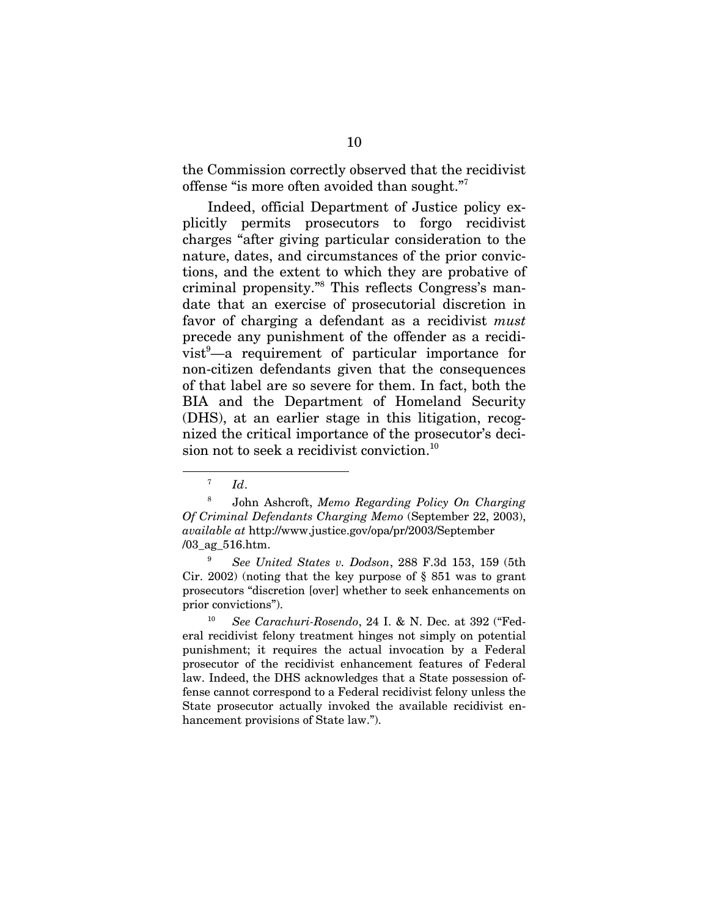the Commission correctly observed that the recidivist offense "is more often avoided than sought."7

Indeed, official Department of Justice policy explicitly permits prosecutors to forgo recidivist charges "after giving particular consideration to the nature, dates, and circumstances of the prior convictions, and the extent to which they are probative of criminal propensity."8 This reflects Congress's mandate that an exercise of prosecutorial discretion in favor of charging a defendant as a recidivist *must* precede any punishment of the offender as a recidivist<sup>9</sup>—a requirement of particular importance for non-citizen defendants given that the consequences of that label are so severe for them. In fact, both the BIA and the Department of Homeland Security (DHS), at an earlier stage in this litigation, recognized the critical importance of the prosecutor's decision not to seek a recidivist conviction.<sup>10</sup>

 $^7$  *Id.* 

<sup>8</sup> John Ashcroft, *Memo Regarding Policy On Charging Of Criminal Defendants Charging Memo* (September 22, 2003), *available at* http://www.justice.gov/opa/pr/2003/September /03\_ag\_516.htm.

<sup>9</sup> *See United States v. Dodson*, 288 F.3d 153, 159 (5th Cir. 2002) (noting that the key purpose of § 851 was to grant prosecutors "discretion [over] whether to seek enhancements on prior convictions").

<sup>10</sup> *See Carachuri-Rosendo*, 24 I. & N. Dec. at 392 ("Federal recidivist felony treatment hinges not simply on potential punishment; it requires the actual invocation by a Federal prosecutor of the recidivist enhancement features of Federal law. Indeed, the DHS acknowledges that a State possession offense cannot correspond to a Federal recidivist felony unless the State prosecutor actually invoked the available recidivist enhancement provisions of State law.").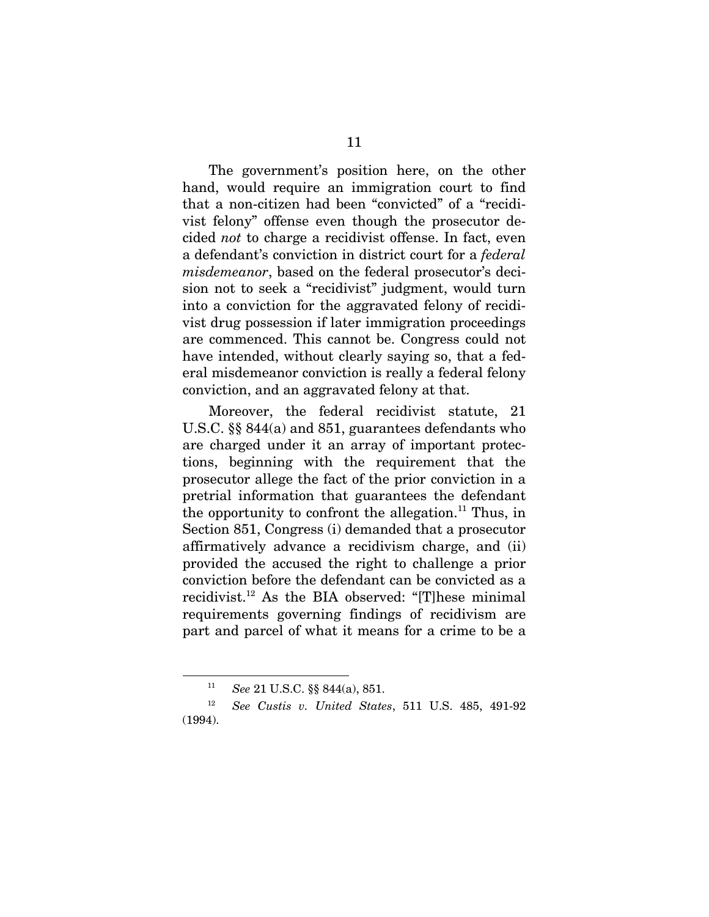The government's position here, on the other hand, would require an immigration court to find that a non-citizen had been "convicted" of a "recidivist felony" offense even though the prosecutor decided *not* to charge a recidivist offense. In fact, even a defendant's conviction in district court for a *federal misdemeanor*, based on the federal prosecutor's decision not to seek a "recidivist" judgment, would turn into a conviction for the aggravated felony of recidivist drug possession if later immigration proceedings are commenced. This cannot be. Congress could not have intended, without clearly saying so, that a federal misdemeanor conviction is really a federal felony conviction, and an aggravated felony at that.

Moreover, the federal recidivist statute, 21 U.S.C. §§ 844(a) and 851, guarantees defendants who are charged under it an array of important protections, beginning with the requirement that the prosecutor allege the fact of the prior conviction in a pretrial information that guarantees the defendant the opportunity to confront the allegation.<sup>11</sup> Thus, in Section 851, Congress (i) demanded that a prosecutor affirmatively advance a recidivism charge, and (ii) provided the accused the right to challenge a prior conviction before the defendant can be convicted as a recidivist.12 As the BIA observed: "[T]hese minimal requirements governing findings of recidivism are part and parcel of what it means for a crime to be a

<sup>11</sup> *See* 21 U.S.C. §§ 844(a), 851.

<sup>12</sup> *See Custis v. United States*, 511 U.S. 485, 491-92 (1994).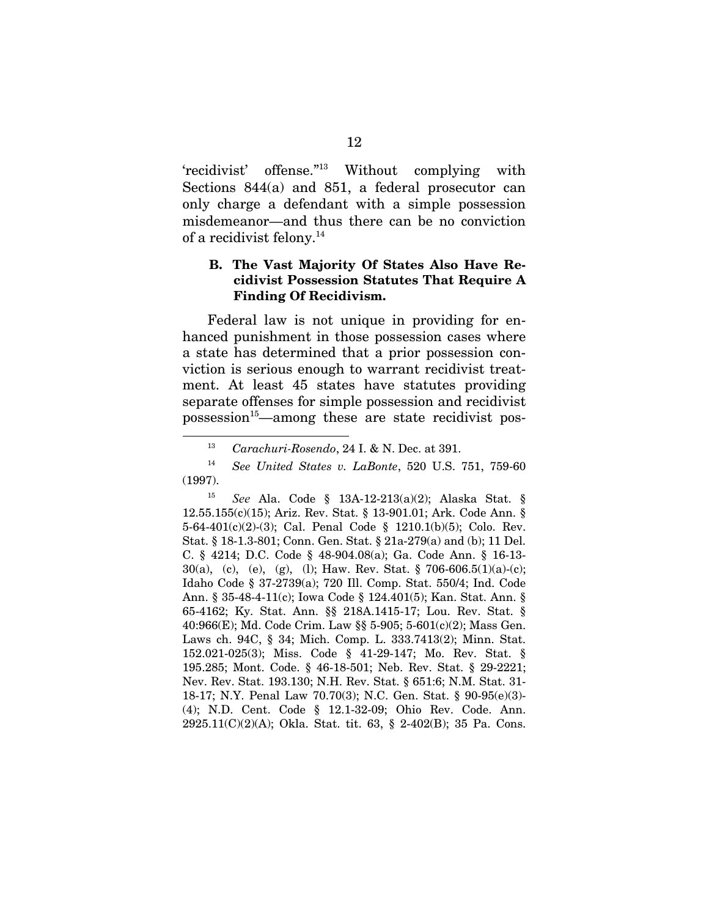'recidivist' offense."13 Without complying with Sections 844(a) and 851, a federal prosecutor can only charge a defendant with a simple possession misdemeanor—and thus there can be no conviction of a recidivist felony.14

### **B. The Vast Majority Of States Also Have Recidivist Possession Statutes That Require A Finding Of Recidivism.**

Federal law is not unique in providing for enhanced punishment in those possession cases where a state has determined that a prior possession conviction is serious enough to warrant recidivist treatment. At least 45 states have statutes providing separate offenses for simple possession and recidivist possession<sup>15</sup>—among these are state recidivist pos-

<sup>13</sup> *Carachuri-Rosendo*, 24 I. & N. Dec. at 391.

<sup>14</sup> *See United States v. LaBonte*, 520 U.S. 751, 759-60 (1997).

<sup>15</sup> *See* Ala. Code § 13A-12-213(a)(2); Alaska Stat. § 12.55.155(c)(15); Ariz. Rev. Stat. § 13-901.01; Ark. Code Ann. § 5-64-401(c)(2)-(3); Cal. Penal Code § 1210.1(b)(5); Colo. Rev. Stat. § 18-1.3-801; Conn. Gen. Stat. § 21a-279(a) and (b); 11 Del. C. § 4214; D.C. Code § 48-904.08(a); Ga. Code Ann. § 16-13- 30(a), (c), (e), (g), (l); Haw. Rev. Stat. § 706-606.5(1)(a)-(c); Idaho Code § 37-2739(a); 720 Ill. Comp. Stat. 550/4; Ind. Code Ann. § 35-48-4-11(c); Iowa Code § 124.401(5); Kan. Stat. Ann. § 65-4162; Ky. Stat. Ann. §§ 218A.1415-17; Lou. Rev. Stat. § 40:966(E); Md. Code Crim. Law §§ 5-905; 5-601(c)(2); Mass Gen. Laws ch. 94C, § 34; Mich. Comp. L. 333.7413(2); Minn. Stat. 152.021-025(3); Miss. Code § 41-29-147; Mo. Rev. Stat. § 195.285; Mont. Code. § 46-18-501; Neb. Rev. Stat. § 29-2221; Nev. Rev. Stat. 193.130; N.H. Rev. Stat. § 651:6; N.M. Stat. 31- 18-17; N.Y. Penal Law 70.70(3); N.C. Gen. Stat. § 90-95(e)(3)- (4); N.D. Cent. Code § 12.1-32-09; Ohio Rev. Code. Ann. 2925.11(C)(2)(A); Okla. Stat. tit. 63, § 2-402(B); 35 Pa. Cons.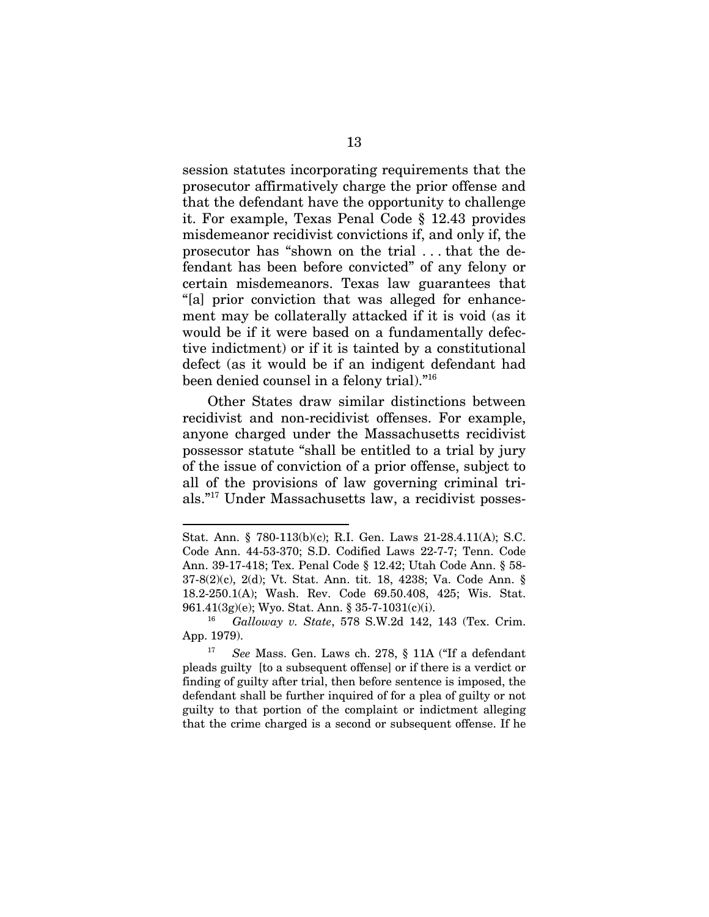session statutes incorporating requirements that the prosecutor affirmatively charge the prior offense and that the defendant have the opportunity to challenge it. For example, Texas Penal Code § 12.43 provides misdemeanor recidivist convictions if, and only if, the prosecutor has "shown on the trial . . . that the defendant has been before convicted" of any felony or certain misdemeanors. Texas law guarantees that "[a] prior conviction that was alleged for enhancement may be collaterally attacked if it is void (as it would be if it were based on a fundamentally defective indictment) or if it is tainted by a constitutional defect (as it would be if an indigent defendant had been denied counsel in a felony trial)."16

Other States draw similar distinctions between recidivist and non-recidivist offenses. For example, anyone charged under the Massachusetts recidivist possessor statute "shall be entitled to a trial by jury of the issue of conviction of a prior offense, subject to all of the provisions of law governing criminal trials."17 Under Massachusetts law, a recidivist posses-

Stat. Ann. § 780-113(b)(c); R.I. Gen. Laws 21-28.4.11(A); S.C. Code Ann. 44-53-370; S.D. Codified Laws 22-7-7; Tenn. Code Ann. 39-17-418; Tex. Penal Code § 12.42; Utah Code Ann. § 58- 37-8(2)(c), 2(d); Vt. Stat. Ann. tit. 18, 4238; Va. Code Ann. § 18.2-250.1(A); Wash. Rev. Code 69.50.408, 425; Wis. Stat. 961.41(3g)(e); Wyo. Stat. Ann. § 35-7-1031(c)(i).

<sup>16</sup> *Galloway v. State*, 578 S.W.2d 142, 143 (Tex. Crim. App. 1979).

<sup>17</sup> *See* Mass. Gen. Laws ch. 278, § 11A ("If a defendant pleads guilty [to a subsequent offense] or if there is a verdict or finding of guilty after trial, then before sentence is imposed, the defendant shall be further inquired of for a plea of guilty or not guilty to that portion of the complaint or indictment alleging that the crime charged is a second or subsequent offense. If he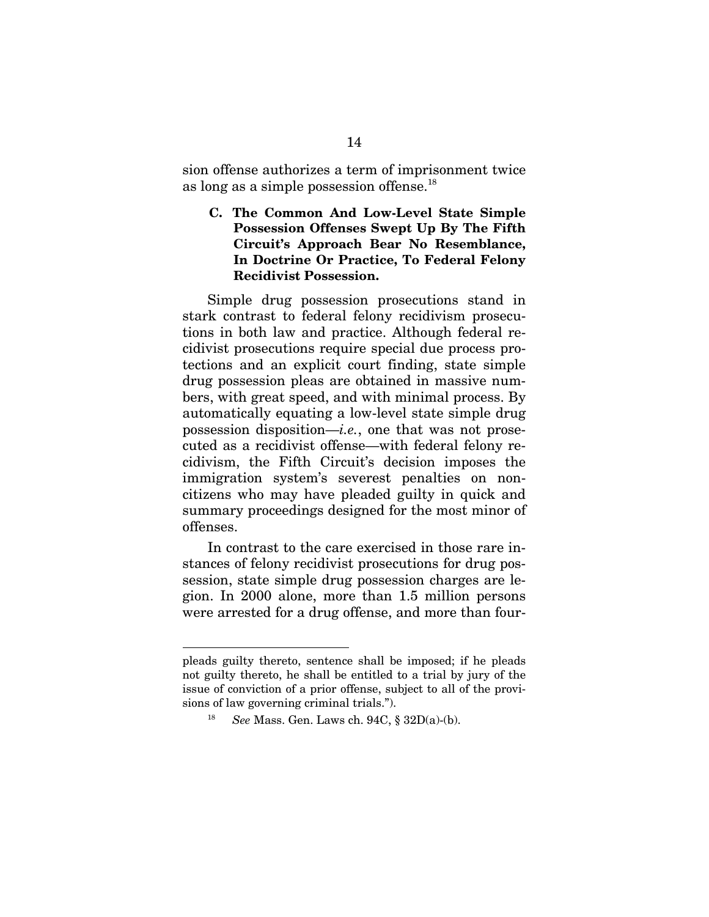sion offense authorizes a term of imprisonment twice as long as a simple possession offense.18

**C. The Common And Low-Level State Simple Possession Offenses Swept Up By The Fifth Circuit's Approach Bear No Resemblance, In Doctrine Or Practice, To Federal Felony Recidivist Possession.** 

Simple drug possession prosecutions stand in stark contrast to federal felony recidivism prosecutions in both law and practice. Although federal recidivist prosecutions require special due process protections and an explicit court finding, state simple drug possession pleas are obtained in massive numbers, with great speed, and with minimal process. By automatically equating a low-level state simple drug possession disposition—*i.e.*, one that was not prosecuted as a recidivist offense—with federal felony recidivism, the Fifth Circuit's decision imposes the immigration system's severest penalties on noncitizens who may have pleaded guilty in quick and summary proceedings designed for the most minor of offenses.

In contrast to the care exercised in those rare instances of felony recidivist prosecutions for drug possession, state simple drug possession charges are legion. In 2000 alone, more than 1.5 million persons were arrested for a drug offense, and more than four-

 $\overline{\phantom{a}}$ 

pleads guilty thereto, sentence shall be imposed; if he pleads not guilty thereto, he shall be entitled to a trial by jury of the issue of conviction of a prior offense, subject to all of the provisions of law governing criminal trials.").

<sup>18</sup> *See* Mass. Gen. Laws ch. 94C, § 32D(a)-(b).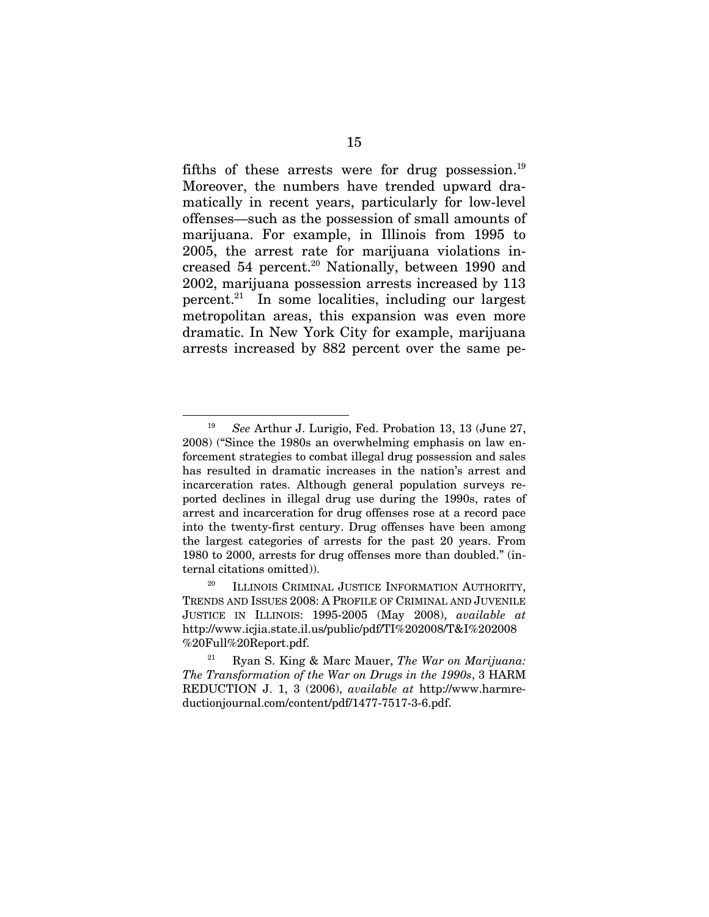fifths of these arrests were for drug possession.<sup>19</sup> Moreover, the numbers have trended upward dramatically in recent years, particularly for low-level offenses—such as the possession of small amounts of marijuana. For example, in Illinois from 1995 to 2005, the arrest rate for marijuana violations increased 54 percent.<sup>20</sup> Nationally, between 1990 and 2002, marijuana possession arrests increased by 113 percent.21In some localities, including our largest metropolitan areas, this expansion was even more dramatic. In New York City for example, marijuana arrests increased by 882 percent over the same pe-

<sup>19</sup> *See* Arthur J. Lurigio, Fed. Probation 13, 13 (June 27, 2008) ("Since the 1980s an overwhelming emphasis on law enforcement strategies to combat illegal drug possession and sales has resulted in dramatic increases in the nation's arrest and incarceration rates. Although general population surveys reported declines in illegal drug use during the 1990s, rates of arrest and incarceration for drug offenses rose at a record pace into the twenty-first century. Drug offenses have been among the largest categories of arrests for the past 20 years. From 1980 to 2000, arrests for drug offenses more than doubled." (internal citations omitted)).

<sup>&</sup>lt;sup>20</sup> ILLINOIS CRIMINAL JUSTICE INFORMATION AUTHORITY, TRENDS AND ISSUES 2008: A PROFILE OF CRIMINAL AND JUVENILE JUSTICE IN ILLINOIS: 1995-2005 (May 2008), *available at* http://www.icjia.state.il.us/public/pdf/TI%202008/T&I%202008 %20Full%20Report.pdf.

<sup>21</sup> Ryan S. King & Marc Mauer, *The War on Marijuana: The Transformation of the War on Drugs in the 1990s*, 3 HARM REDUCTION J. 1, 3 (2006), *available at* http://www.harmreductionjournal.com/content/pdf/1477-7517-3-6.pdf.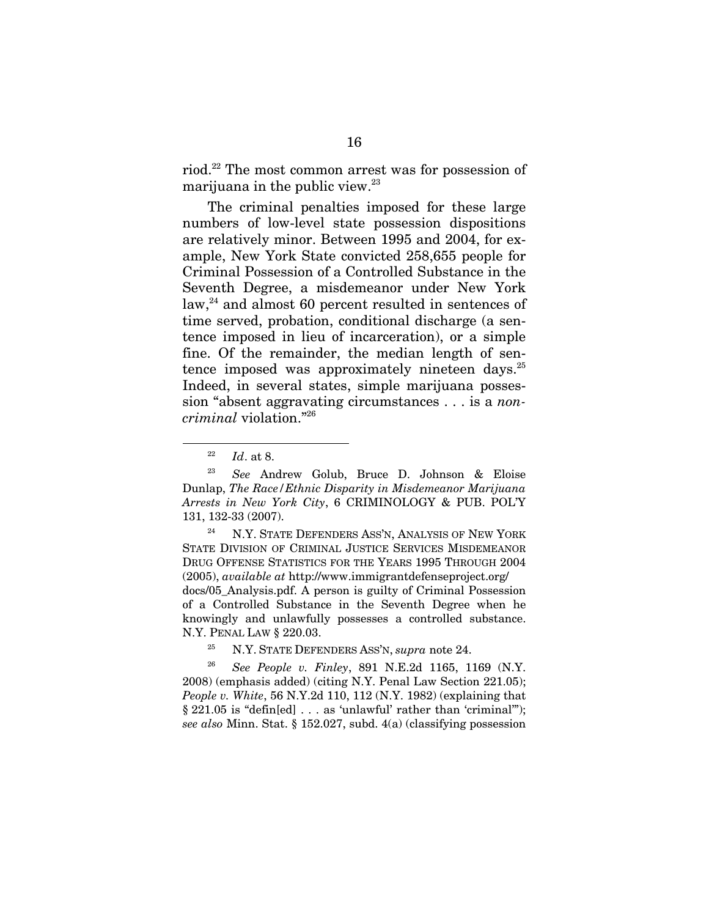riod.22 The most common arrest was for possession of marijuana in the public view.<sup>23</sup>

The criminal penalties imposed for these large numbers of low-level state possession dispositions are relatively minor. Between 1995 and 2004, for example, New York State convicted 258,655 people for Criminal Possession of a Controlled Substance in the Seventh Degree, a misdemeanor under New York  $law<sup>24</sup>$  and almost 60 percent resulted in sentences of time served, probation, conditional discharge (a sentence imposed in lieu of incarceration), or a simple fine. Of the remainder, the median length of sentence imposed was approximately nineteen days. $^{25}$ Indeed, in several states, simple marijuana possession "absent aggravating circumstances . . . is a *noncriminal* violation."26

l

N.Y. STATE DEFENDERS ASS'N, ANALYSIS OF NEW YORK STATE DIVISION OF CRIMINAL JUSTICE SERVICES MISDEMEANOR DRUG OFFENSE STATISTICS FOR THE YEARS 1995 THROUGH 2004 (2005), *available at* http://www.immigrantdefenseproject.org/ docs/05\_Analysis.pdf. A person is guilty of Criminal Possession of a Controlled Substance in the Seventh Degree when he knowingly and unlawfully possesses a controlled substance. N.Y. PENAL LAW § 220.03.

25 N.Y. STATE DEFENDERS ASS'N, *supra* note 24.

<sup>26</sup> *See People v. Finley*, 891 N.E.2d 1165, 1169 (N.Y. 2008) (emphasis added) (citing N.Y. Penal Law Section 221.05); *People v. White*, 56 N.Y.2d 110, 112 (N.Y. 1982) (explaining that § 221.05 is "defin[ed] . . . as 'unlawful' rather than 'criminal'"); *see also* Minn. Stat. § 152.027, subd. 4(a) (classifying possession

<sup>22</sup> *Id*. at 8.

<sup>23</sup> *See* Andrew Golub, Bruce D. Johnson & Eloise Dunlap, *The Race/Ethnic Disparity in Misdemeanor Marijuana Arrests in New York City*, 6 CRIMINOLOGY & PUB. POL'Y 131, 132-33 (2007).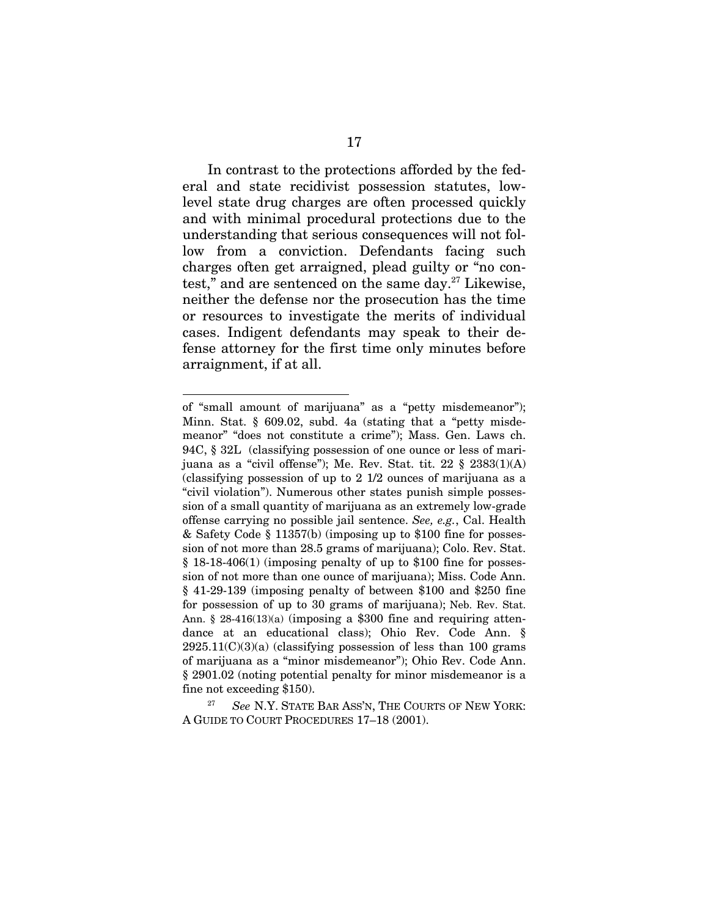In contrast to the protections afforded by the federal and state recidivist possession statutes, lowlevel state drug charges are often processed quickly and with minimal procedural protections due to the understanding that serious consequences will not follow from a conviction. Defendants facing such charges often get arraigned, plead guilty or "no contest," and are sentenced on the same day.27 Likewise, neither the defense nor the prosecution has the time or resources to investigate the merits of individual cases. Indigent defendants may speak to their defense attorney for the first time only minutes before arraignment, if at all.

of "small amount of marijuana" as a "petty misdemeanor"); Minn. Stat. § 609.02, subd. 4a (stating that a "petty misdemeanor" "does not constitute a crime"); Mass. Gen. Laws ch. 94C, § 32L (classifying possession of one ounce or less of marijuana as a "civil offense"); Me. Rev. Stat. tit.  $22 \S 2383(1)(A)$ (classifying possession of up to 2 1/2 ounces of marijuana as a "civil violation"). Numerous other states punish simple possession of a small quantity of marijuana as an extremely low-grade offense carrying no possible jail sentence. *See, e.g.*, Cal. Health & Safety Code § 11357(b) (imposing up to \$100 fine for possession of not more than 28.5 grams of marijuana); Colo. Rev. Stat. § 18-18-406(1) (imposing penalty of up to \$100 fine for possession of not more than one ounce of marijuana); Miss. Code Ann. § 41-29-139 (imposing penalty of between \$100 and \$250 fine for possession of up to 30 grams of marijuana); Neb. Rev. Stat. Ann. § 28-416(13)(a) (imposing a \$300 fine and requiring attendance at an educational class); Ohio Rev. Code Ann. §  $2925.11(C)(3)(a)$  (classifying possession of less than 100 grams of marijuana as a "minor misdemeanor"); Ohio Rev. Code Ann. § 2901.02 (noting potential penalty for minor misdemeanor is a fine not exceeding \$150).

<sup>27</sup> *See* N.Y. STATE BAR ASS'N, THE COURTS OF NEW YORK: A GUIDE TO COURT PROCEDURES 17–18 (2001).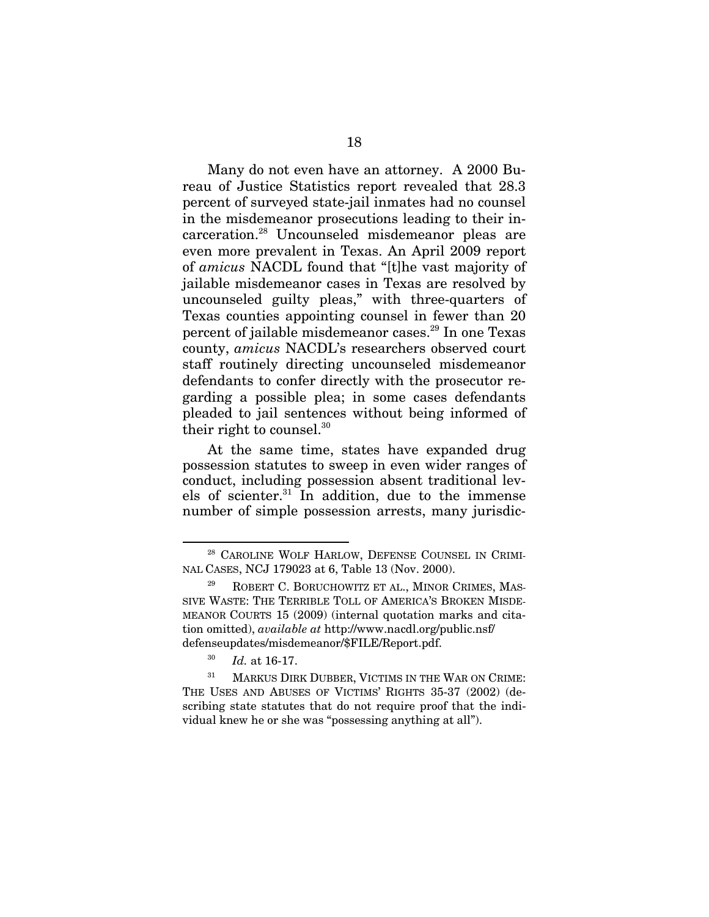Many do not even have an attorney. A 2000 Bureau of Justice Statistics report revealed that 28.3 percent of surveyed state-jail inmates had no counsel in the misdemeanor prosecutions leading to their incarceration.28 Uncounseled misdemeanor pleas are even more prevalent in Texas. An April 2009 report of *amicus* NACDL found that "[t]he vast majority of jailable misdemeanor cases in Texas are resolved by uncounseled guilty pleas," with three-quarters of Texas counties appointing counsel in fewer than 20 percent of jailable misdemeanor cases.<sup>29</sup> In one Texas county, *amicus* NACDL's researchers observed court staff routinely directing uncounseled misdemeanor defendants to confer directly with the prosecutor regarding a possible plea; in some cases defendants pleaded to jail sentences without being informed of their right to counsel. $30<sup>30</sup>$ 

At the same time, states have expanded drug possession statutes to sweep in even wider ranges of conduct, including possession absent traditional levels of scienter. $31$  In addition, due to the immense number of simple possession arrests, many jurisdic-

<sup>&</sup>lt;sup>28</sup> CAROLINE WOLF HARLOW, DEFENSE COUNSEL IN CRIMI-NAL CASES, NCJ 179023 at 6, Table 13 (Nov. 2000).

ROBERT C. BORUCHOWITZ ET AL., MINOR CRIMES, MAS-SIVE WASTE: THE TERRIBLE TOLL OF AMERICA'S BROKEN MISDE-MEANOR COURTS 15 (2009) (internal quotation marks and citation omitted), *available at* http://www.nacdl.org/public.nsf/ defenseupdates/misdemeanor/\$FILE/Report.pdf.

<sup>30</sup> *Id.* at 16-17.

<sup>&</sup>lt;sup>31</sup> MARKUS DIRK DUBBER, VICTIMS IN THE WAR ON CRIME: THE USES AND ABUSES OF VICTIMS' RIGHTS 35-37 (2002) (describing state statutes that do not require proof that the individual knew he or she was "possessing anything at all").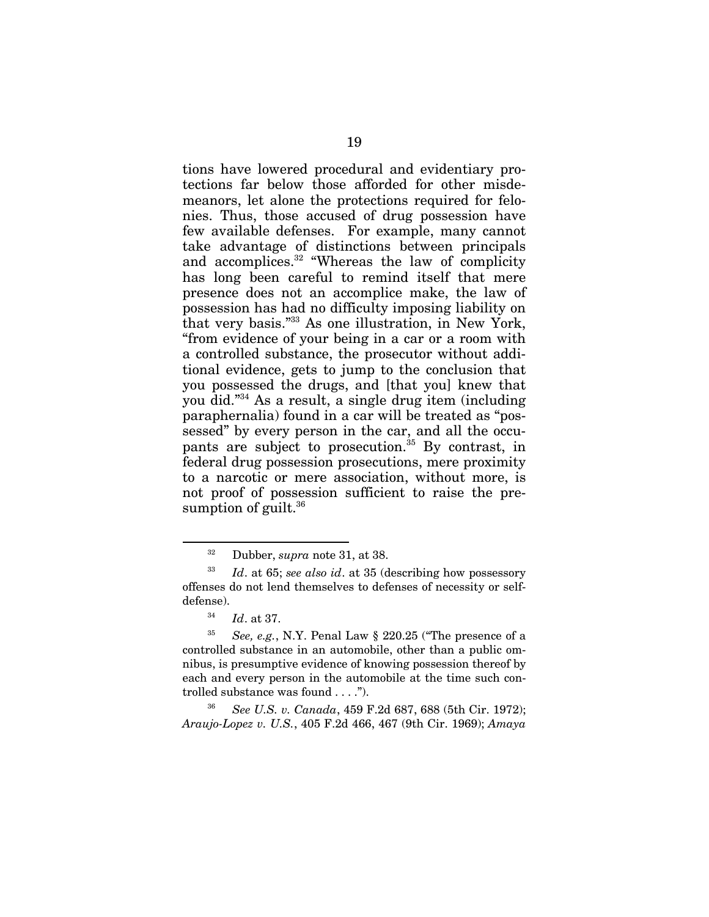tions have lowered procedural and evidentiary protections far below those afforded for other misdemeanors, let alone the protections required for felonies. Thus, those accused of drug possession have few available defenses. For example, many cannot take advantage of distinctions between principals and accomplices.<sup>32</sup> "Whereas the law of complicity has long been careful to remind itself that mere presence does not an accomplice make, the law of possession has had no difficulty imposing liability on that very basis."33 As one illustration, in New York, "from evidence of your being in a car or a room with a controlled substance, the prosecutor without additional evidence, gets to jump to the conclusion that you possessed the drugs, and [that you] knew that you did."34 As a result, a single drug item (including paraphernalia) found in a car will be treated as "possessed" by every person in the car, and all the occupants are subject to prosecution.<sup>35</sup> By contrast, in federal drug possession prosecutions, mere proximity to a narcotic or mere association, without more, is not proof of possession sufficient to raise the presumption of guilt. $36$ 

l

<sup>36</sup> *See U.S. v. Canada*, 459 F.2d 687, 688 (5th Cir. 1972); *Araujo-Lopez v. U.S.*, 405 F.2d 466, 467 (9th Cir. 1969); *Amaya* 

<sup>32</sup> Dubber, *supra* note 31, at 38.

<sup>33</sup> *Id*. at 65; *see also id*. at 35 (describing how possessory offenses do not lend themselves to defenses of necessity or selfdefense).

<sup>34</sup> *Id*. at 37.

<sup>35</sup> *See, e.g.*, N.Y. Penal Law § 220.25 ("The presence of a controlled substance in an automobile, other than a public omnibus, is presumptive evidence of knowing possession thereof by each and every person in the automobile at the time such controlled substance was found . . . .").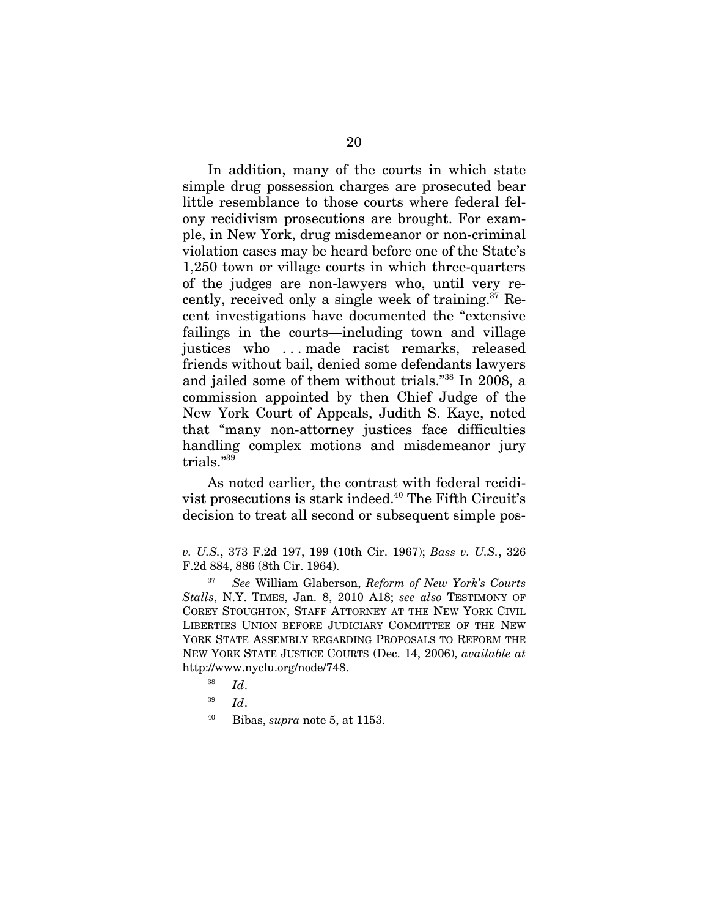In addition, many of the courts in which state simple drug possession charges are prosecuted bear little resemblance to those courts where federal felony recidivism prosecutions are brought. For example, in New York, drug misdemeanor or non-criminal violation cases may be heard before one of the State's 1,250 town or village courts in which three-quarters of the judges are non-lawyers who, until very recently, received only a single week of training.37 Recent investigations have documented the "extensive failings in the courts—including town and village justices who ... made racist remarks, released friends without bail, denied some defendants lawyers and jailed some of them without trials."38 In 2008, a commission appointed by then Chief Judge of the New York Court of Appeals, Judith S. Kaye, noted that "many non-attorney justices face difficulties handling complex motions and misdemeanor jury trials."39

As noted earlier, the contrast with federal recidivist prosecutions is stark indeed.40 The Fifth Circuit's decision to treat all second or subsequent simple pos-

*v. U.S.*, 373 F.2d 197, 199 (10th Cir. 1967); *Bass v. U.S.*, 326 F.2d 884, 886 (8th Cir. 1964).

<sup>37</sup> *See* William Glaberson, *Reform of New York's Courts Stalls*, N.Y. TIMES, Jan. 8, 2010 A18; *see also* TESTIMONY OF COREY STOUGHTON, STAFF ATTORNEY AT THE NEW YORK CIVIL LIBERTIES UNION BEFORE JUDICIARY COMMITTEE OF THE NEW YORK STATE ASSEMBLY REGARDING PROPOSALS TO REFORM THE NEW YORK STATE JUSTICE COURTS (Dec. 14, 2006), *available at* http://www.nyclu.org/node/748.

<sup>38</sup> *Id*.

<sup>39</sup> *Id*.

<sup>40</sup> Bibas, *supra* note 5, at 1153.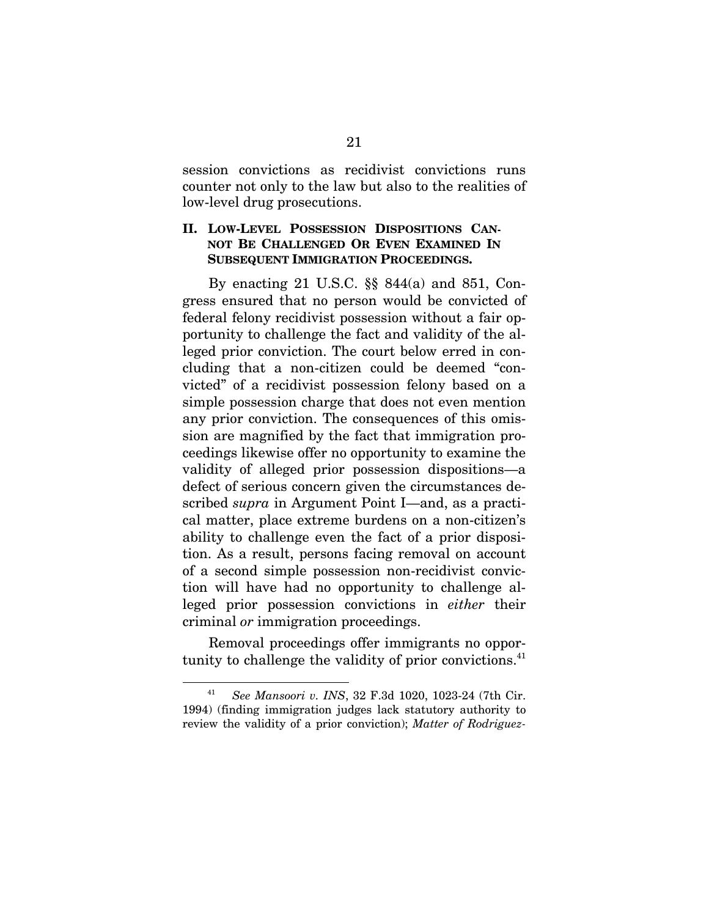session convictions as recidivist convictions runs counter not only to the law but also to the realities of low-level drug prosecutions.

### **II. LOW-LEVEL POSSESSION DISPOSITIONS CAN-NOT BE CHALLENGED OR EVEN EXAMINED IN SUBSEQUENT IMMIGRATION PROCEEDINGS.**

By enacting 21 U.S.C. §§ 844(a) and 851, Congress ensured that no person would be convicted of federal felony recidivist possession without a fair opportunity to challenge the fact and validity of the alleged prior conviction. The court below erred in concluding that a non-citizen could be deemed "convicted" of a recidivist possession felony based on a simple possession charge that does not even mention any prior conviction. The consequences of this omission are magnified by the fact that immigration proceedings likewise offer no opportunity to examine the validity of alleged prior possession dispositions—a defect of serious concern given the circumstances described *supra* in Argument Point I—and, as a practical matter, place extreme burdens on a non-citizen's ability to challenge even the fact of a prior disposition. As a result, persons facing removal on account of a second simple possession non-recidivist conviction will have had no opportunity to challenge alleged prior possession convictions in *either* their criminal *or* immigration proceedings.

Removal proceedings offer immigrants no opportunity to challenge the validity of prior convictions. $41$ 

<sup>41</sup> *See Mansoori v. INS*, 32 F.3d 1020, 1023-24 (7th Cir. 1994) (finding immigration judges lack statutory authority to review the validity of a prior conviction); *Matter of Rodriguez-*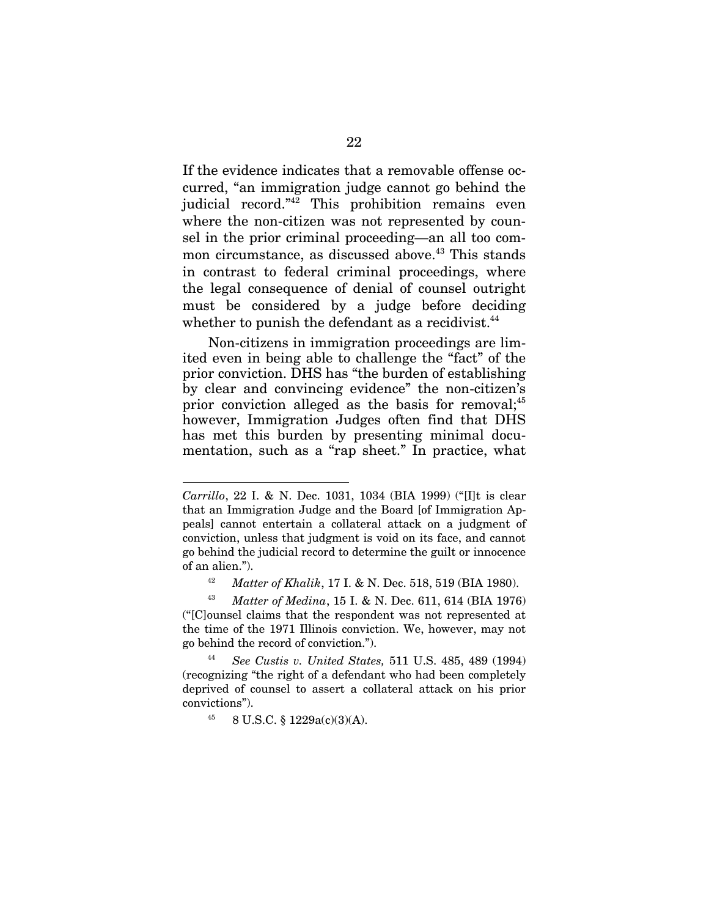If the evidence indicates that a removable offense occurred, "an immigration judge cannot go behind the judicial record."42 This prohibition remains even where the non-citizen was not represented by counsel in the prior criminal proceeding—an all too common circumstance, as discussed above.<sup>43</sup> This stands in contrast to federal criminal proceedings, where the legal consequence of denial of counsel outright must be considered by a judge before deciding whether to punish the defendant as a recidivist.<sup>44</sup>

Non-citizens in immigration proceedings are limited even in being able to challenge the "fact" of the prior conviction. DHS has "the burden of establishing by clear and convincing evidence" the non-citizen's prior conviction alleged as the basis for removal;<sup>45</sup> however, Immigration Judges often find that DHS has met this burden by presenting minimal documentation, such as a "rap sheet." In practice, what

*Carrillo*, 22 I. & N. Dec. 1031, 1034 (BIA 1999) ("[I]t is clear that an Immigration Judge and the Board [of Immigration Appeals] cannot entertain a collateral attack on a judgment of conviction, unless that judgment is void on its face, and cannot go behind the judicial record to determine the guilt or innocence of an alien.").

<sup>42</sup> *Matter of Khalik*, 17 I. & N. Dec. 518, 519 (BIA 1980).

<sup>43</sup> *Matter of Medina*, 15 I. & N. Dec. 611, 614 (BIA 1976) ("[C]ounsel claims that the respondent was not represented at the time of the 1971 Illinois conviction. We, however, may not go behind the record of conviction.").

<sup>44</sup> *See Custis v. United States,* 511 U.S. 485, 489 (1994) (recognizing "the right of a defendant who had been completely deprived of counsel to assert a collateral attack on his prior convictions").

 $45$  8 U.S.C. § 1229a(c)(3)(A).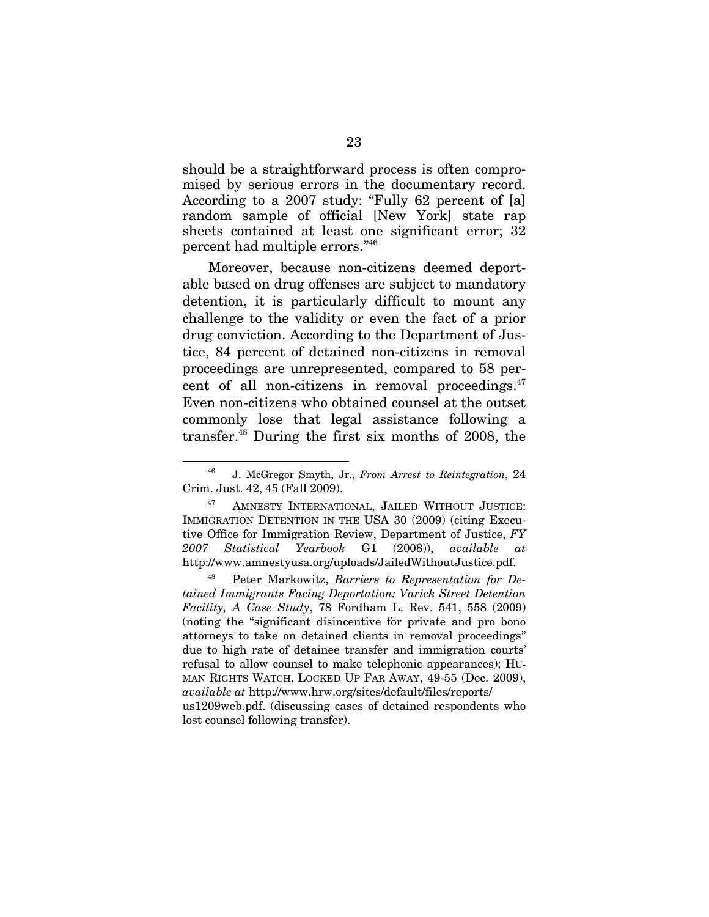should be a straightforward process is often compromised by serious errors in the documentary record. According to a 2007 study: "Fully 62 percent of [a] random sample of official [New York] state rap sheets contained at least one significant error; 32 percent had multiple errors."46

Moreover, because non-citizens deemed deportable based on drug offenses are subject to mandatory detention, it is particularly difficult to mount any challenge to the validity or even the fact of a prior drug conviction. According to the Department of Justice, 84 percent of detained non-citizens in removal proceedings are unrepresented, compared to 58 percent of all non-citizens in removal proceedings. $47$ Even non-citizens who obtained counsel at the outset commonly lose that legal assistance following a transfer.48 During the first six months of 2008, the

 $\overline{\phantom{a}}$ 

<sup>46</sup> J. McGregor Smyth, Jr., *From Arrest to Reintegration*, 24 Crim. Just. 42, 45 (Fall 2009).

<sup>47</sup> AMNESTY INTERNATIONAL, JAILED WITHOUT JUSTICE: IMMIGRATION DETENTION IN THE USA 30 (2009) (citing Executive Office for Immigration Review, Department of Justice, *FY 2007 Statistical Yearbook* G1 (2008)), *available at* http://www.amnestyusa.org/uploads/JailedWithoutJustice.pdf.

Peter Markowitz, *Barriers to Representation for Detained Immigrants Facing Deportation: Varick Street Detention Facility, A Case Study*, 78 Fordham L. Rev. 541, 558 (2009) (noting the "significant disincentive for private and pro bono attorneys to take on detained clients in removal proceedings" due to high rate of detainee transfer and immigration courts' refusal to allow counsel to make telephonic appearances); HU-MAN RIGHTS WATCH, LOCKED UP FAR AWAY, 49-55 (Dec. 2009), *available at* http://www.hrw.org/sites/default/files/reports/ us1209web.pdf. (discussing cases of detained respondents who lost counsel following transfer).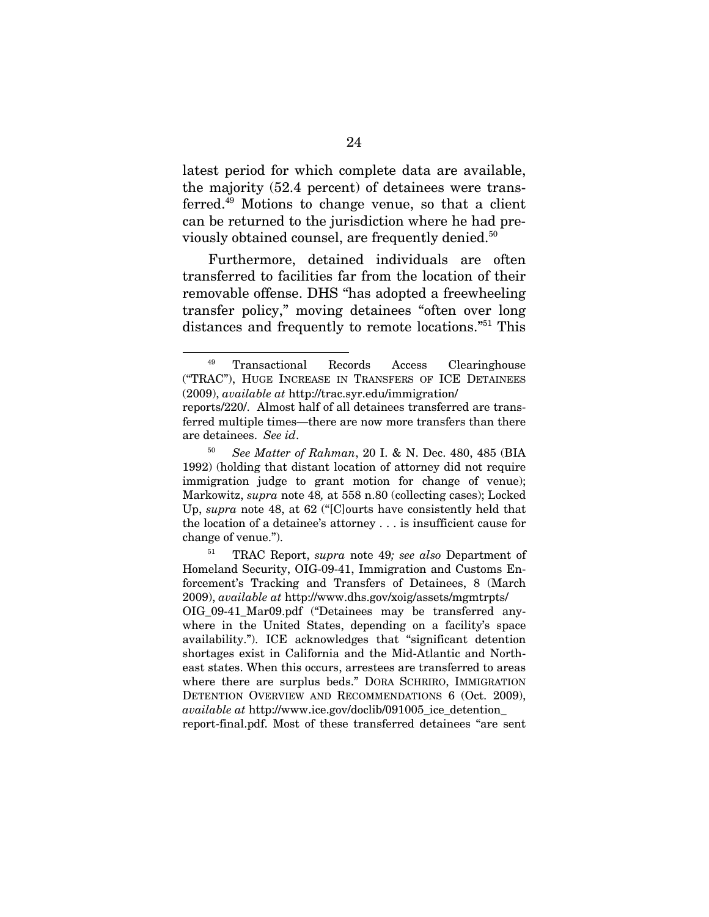latest period for which complete data are available, the majority (52.4 percent) of detainees were transferred.49 Motions to change venue, so that a client can be returned to the jurisdiction where he had previously obtained counsel, are frequently denied.<sup>50</sup>

Furthermore, detained individuals are often transferred to facilities far from the location of their removable offense. DHS "has adopted a freewheeling transfer policy," moving detainees "often over long distances and frequently to remote locations."51 This

l

report-final.pdf. Most of these transferred detainees "are sent

<sup>49</sup> Transactional Records Access Clearinghouse ("TRAC"), HUGE INCREASE IN TRANSFERS OF ICE DETAINEES (2009), *available at* http://trac.syr.edu/immigration/

reports/220/. Almost half of all detainees transferred are transferred multiple times—there are now more transfers than there are detainees. *See id*.

<sup>50</sup> *See Matter of Rahman*, 20 I. & N. Dec. 480, 485 (BIA 1992) (holding that distant location of attorney did not require immigration judge to grant motion for change of venue); Markowitz, *supra* note 48*,* at 558 n.80 (collecting cases); Locked Up, *supra* note 48, at 62 ("[C]ourts have consistently held that the location of a detainee's attorney . . . is insufficient cause for change of venue.").

<sup>51</sup> TRAC Report, *supra* note 49*; see also* Department of Homeland Security, OIG-09-41, Immigration and Customs Enforcement's Tracking and Transfers of Detainees, 8 (March 2009), *available at* http://www.dhs.gov/xoig/assets/mgmtrpts/ OIG\_09-41\_Mar09.pdf ("Detainees may be transferred anywhere in the United States, depending on a facility's space availability."). ICE acknowledges that "significant detention shortages exist in California and the Mid-Atlantic and Northeast states. When this occurs, arrestees are transferred to areas where there are surplus beds." DORA SCHRIRO, IMMIGRATION DETENTION OVERVIEW AND RECOMMENDATIONS 6 (Oct. 2009), *available at* http://www.ice.gov/doclib/091005\_ice\_detention\_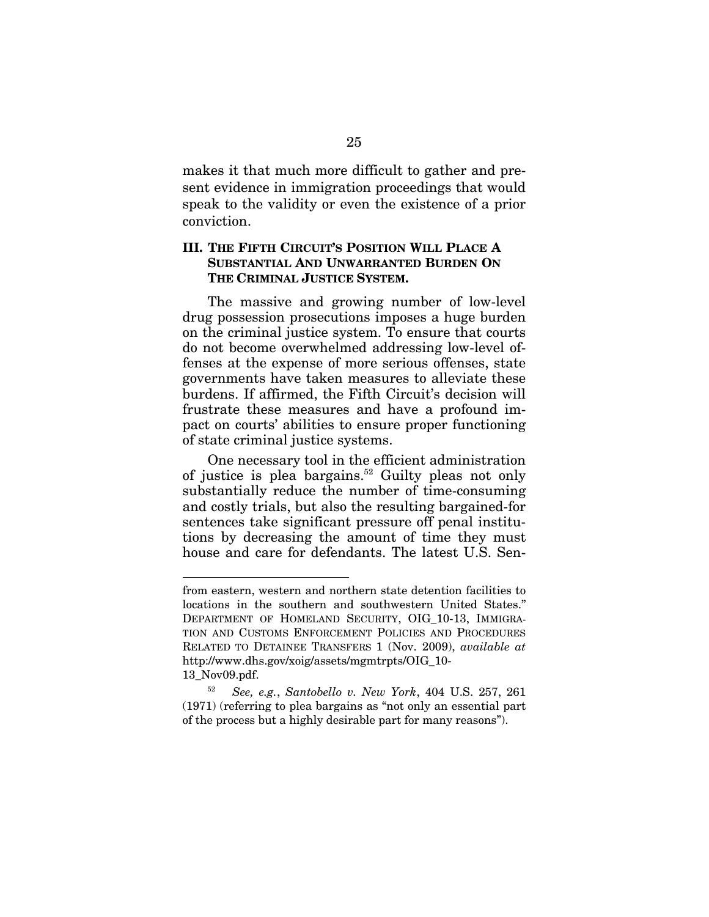makes it that much more difficult to gather and present evidence in immigration proceedings that would speak to the validity or even the existence of a prior conviction.

### **III. THE FIFTH CIRCUIT'S POSITION WILL PLACE A SUBSTANTIAL AND UNWARRANTED BURDEN ON THE CRIMINAL JUSTICE SYSTEM.**

The massive and growing number of low-level drug possession prosecutions imposes a huge burden on the criminal justice system. To ensure that courts do not become overwhelmed addressing low-level offenses at the expense of more serious offenses, state governments have taken measures to alleviate these burdens. If affirmed, the Fifth Circuit's decision will frustrate these measures and have a profound impact on courts' abilities to ensure proper functioning of state criminal justice systems.

One necessary tool in the efficient administration of justice is plea bargains.<sup>52</sup> Guilty pleas not only substantially reduce the number of time-consuming and costly trials, but also the resulting bargained-for sentences take significant pressure off penal institutions by decreasing the amount of time they must house and care for defendants. The latest U.S. Sen-

 $\overline{\phantom{a}}$ 

from eastern, western and northern state detention facilities to locations in the southern and southwestern United States." DEPARTMENT OF HOMELAND SECURITY, OIG\_10-13, IMMIGRA-TION AND CUSTOMS ENFORCEMENT POLICIES AND PROCEDURES RELATED TO DETAINEE TRANSFERS 1 (Nov. 2009), *available at* http://www.dhs.gov/xoig/assets/mgmtrpts/OIG\_10-

<sup>13</sup>\_Nov09.pdf.

<sup>52</sup> *See, e.g.*, *Santobello v. New York*, 404 U.S. 257, 261 (1971) (referring to plea bargains as "not only an essential part of the process but a highly desirable part for many reasons").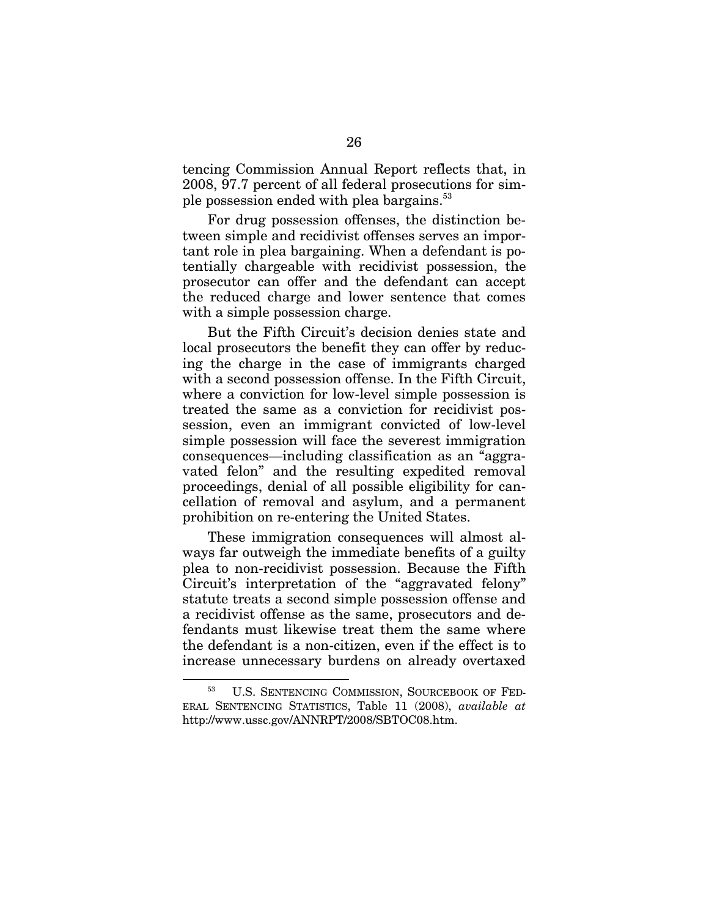tencing Commission Annual Report reflects that, in 2008, 97.7 percent of all federal prosecutions for simple possession ended with plea bargains.<sup>53</sup>

For drug possession offenses, the distinction between simple and recidivist offenses serves an important role in plea bargaining. When a defendant is potentially chargeable with recidivist possession, the prosecutor can offer and the defendant can accept the reduced charge and lower sentence that comes with a simple possession charge.

But the Fifth Circuit's decision denies state and local prosecutors the benefit they can offer by reducing the charge in the case of immigrants charged with a second possession offense. In the Fifth Circuit, where a conviction for low-level simple possession is treated the same as a conviction for recidivist possession, even an immigrant convicted of low-level simple possession will face the severest immigration consequences—including classification as an "aggravated felon" and the resulting expedited removal proceedings, denial of all possible eligibility for cancellation of removal and asylum, and a permanent prohibition on re-entering the United States.

These immigration consequences will almost always far outweigh the immediate benefits of a guilty plea to non-recidivist possession. Because the Fifth Circuit's interpretation of the "aggravated felony" statute treats a second simple possession offense and a recidivist offense as the same, prosecutors and defendants must likewise treat them the same where the defendant is a non-citizen, even if the effect is to increase unnecessary burdens on already overtaxed

<sup>53</sup> U.S. SENTENCING COMMISSION, SOURCEBOOK OF FED-ERAL SENTENCING STATISTICS, Table 11 (2008), *available at* http://www.ussc.gov/ANNRPT/2008/SBTOC08.htm.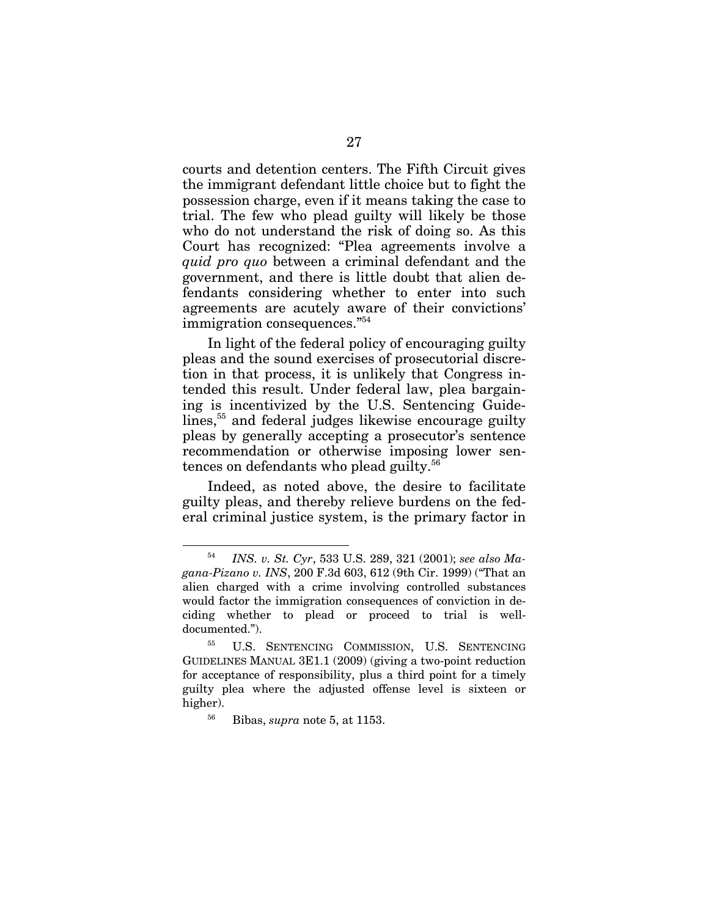courts and detention centers. The Fifth Circuit gives the immigrant defendant little choice but to fight the possession charge, even if it means taking the case to trial. The few who plead guilty will likely be those who do not understand the risk of doing so. As this Court has recognized: "Plea agreements involve a *quid pro quo* between a criminal defendant and the government, and there is little doubt that alien defendants considering whether to enter into such agreements are acutely aware of their convictions' immigration consequences."54

In light of the federal policy of encouraging guilty pleas and the sound exercises of prosecutorial discretion in that process, it is unlikely that Congress intended this result. Under federal law, plea bargaining is incentivized by the U.S. Sentencing Guidelines,<sup>55</sup> and federal judges likewise encourage guilty pleas by generally accepting a prosecutor's sentence recommendation or otherwise imposing lower sentences on defendants who plead guilty.<sup>56</sup>

Indeed, as noted above, the desire to facilitate guilty pleas, and thereby relieve burdens on the federal criminal justice system, is the primary factor in

<sup>54</sup> *INS. v. St. Cyr*, 533 U.S. 289, 321 (2001); *see also Magana-Pizano v. INS*, 200 F.3d 603, 612 (9th Cir. 1999) ("That an alien charged with a crime involving controlled substances would factor the immigration consequences of conviction in deciding whether to plead or proceed to trial is welldocumented.").

<sup>&</sup>lt;sup>55</sup> U.S. SENTENCING COMMISSION, U.S. SENTENCING GUIDELINES MANUAL 3E1.1 (2009) (giving a two-point reduction for acceptance of responsibility, plus a third point for a timely guilty plea where the adjusted offense level is sixteen or higher).

<sup>56</sup> Bibas, *supra* note 5, at 1153.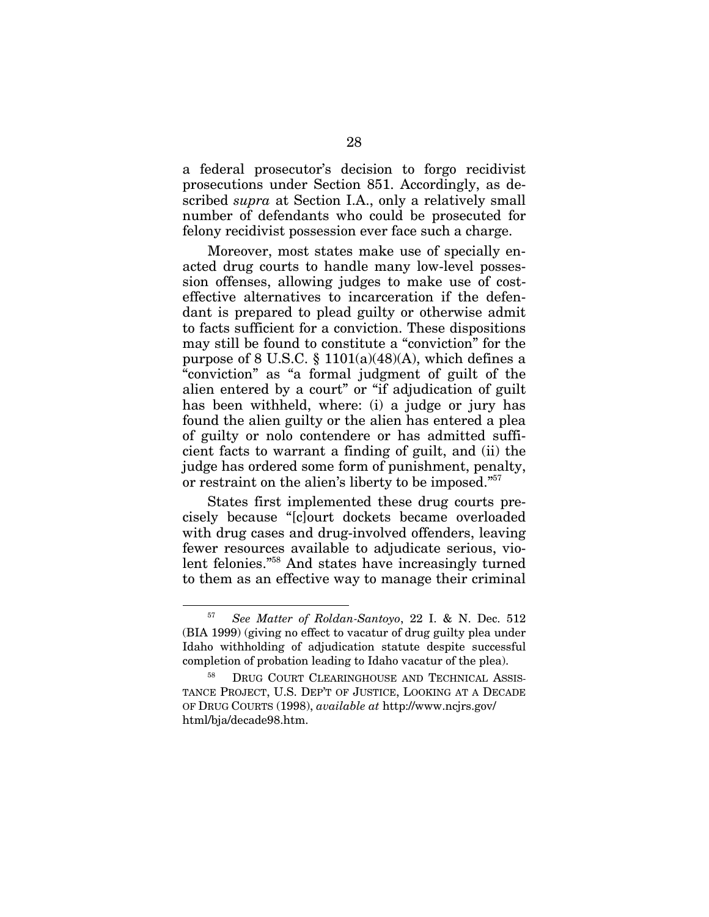a federal prosecutor's decision to forgo recidivist prosecutions under Section 851. Accordingly, as described *supra* at Section I.A., only a relatively small number of defendants who could be prosecuted for felony recidivist possession ever face such a charge.

Moreover, most states make use of specially enacted drug courts to handle many low-level possession offenses, allowing judges to make use of costeffective alternatives to incarceration if the defendant is prepared to plead guilty or otherwise admit to facts sufficient for a conviction. These dispositions may still be found to constitute a "conviction" for the purpose of 8 U.S.C. § 1101(a)(48)(A), which defines a "conviction" as "a formal judgment of guilt of the alien entered by a court" or "if adjudication of guilt has been withheld, where: (i) a judge or jury has found the alien guilty or the alien has entered a plea of guilty or nolo contendere or has admitted sufficient facts to warrant a finding of guilt, and (ii) the judge has ordered some form of punishment, penalty, or restraint on the alien's liberty to be imposed."57

States first implemented these drug courts precisely because "[c]ourt dockets became overloaded with drug cases and drug-involved offenders, leaving fewer resources available to adjudicate serious, violent felonies."58 And states have increasingly turned to them as an effective way to manage their criminal

<sup>57</sup> *See Matter of Roldan-Santoyo*, 22 I. & N. Dec. 512 (BIA 1999) (giving no effect to vacatur of drug guilty plea under Idaho withholding of adjudication statute despite successful completion of probation leading to Idaho vacatur of the plea).

<sup>&</sup>lt;sup>58</sup> DRUG COURT CLEARINGHOUSE AND TECHNICAL ASSIS-TANCE PROJECT, U.S. DEP'T OF JUSTICE, LOOKING AT A DECADE OF DRUG COURTS (1998), *available at* http://www.ncjrs.gov/ html/bja/decade98.htm.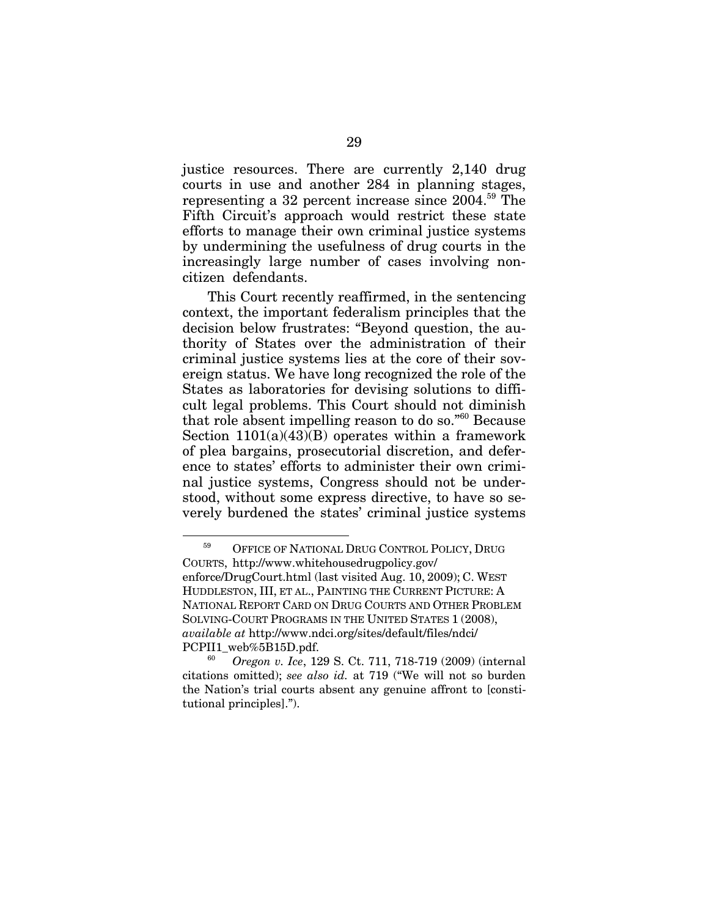justice resources. There are currently 2,140 drug courts in use and another 284 in planning stages, representing a 32 percent increase since 2004.59 The Fifth Circuit's approach would restrict these state efforts to manage their own criminal justice systems by undermining the usefulness of drug courts in the increasingly large number of cases involving noncitizen defendants.

This Court recently reaffirmed, in the sentencing context, the important federalism principles that the decision below frustrates: "Beyond question, the authority of States over the administration of their criminal justice systems lies at the core of their sovereign status. We have long recognized the role of the States as laboratories for devising solutions to difficult legal problems. This Court should not diminish that role absent impelling reason to do so."60 Because Section  $1101(a)(43)(B)$  operates within a framework of plea bargains, prosecutorial discretion, and deference to states' efforts to administer their own criminal justice systems, Congress should not be understood, without some express directive, to have so severely burdened the states' criminal justice systems

<sup>&</sup>lt;sup>59</sup> OFFICE OF NATIONAL DRUG CONTROL POLICY, DRUG COURTS, http://www.whitehousedrugpolicy.gov/ enforce/DrugCourt.html (last visited Aug. 10, 2009); C. WEST HUDDLESTON, III, ET AL., PAINTING THE CURRENT PICTURE: A NATIONAL REPORT CARD ON DRUG COURTS AND OTHER PROBLEM SOLVING-COURT PROGRAMS IN THE UNITED STATES 1 (2008), *available at* http://www.ndci.org/sites/default/files/ndci/

PCPII1\_web%5B15D.pdf. 60 *Oregon v. Ice*, 129 S. Ct. 711, 718-719 (2009) (internal citations omitted); *see also id.* at 719 ("We will not so burden the Nation's trial courts absent any genuine affront to [constitutional principles].").